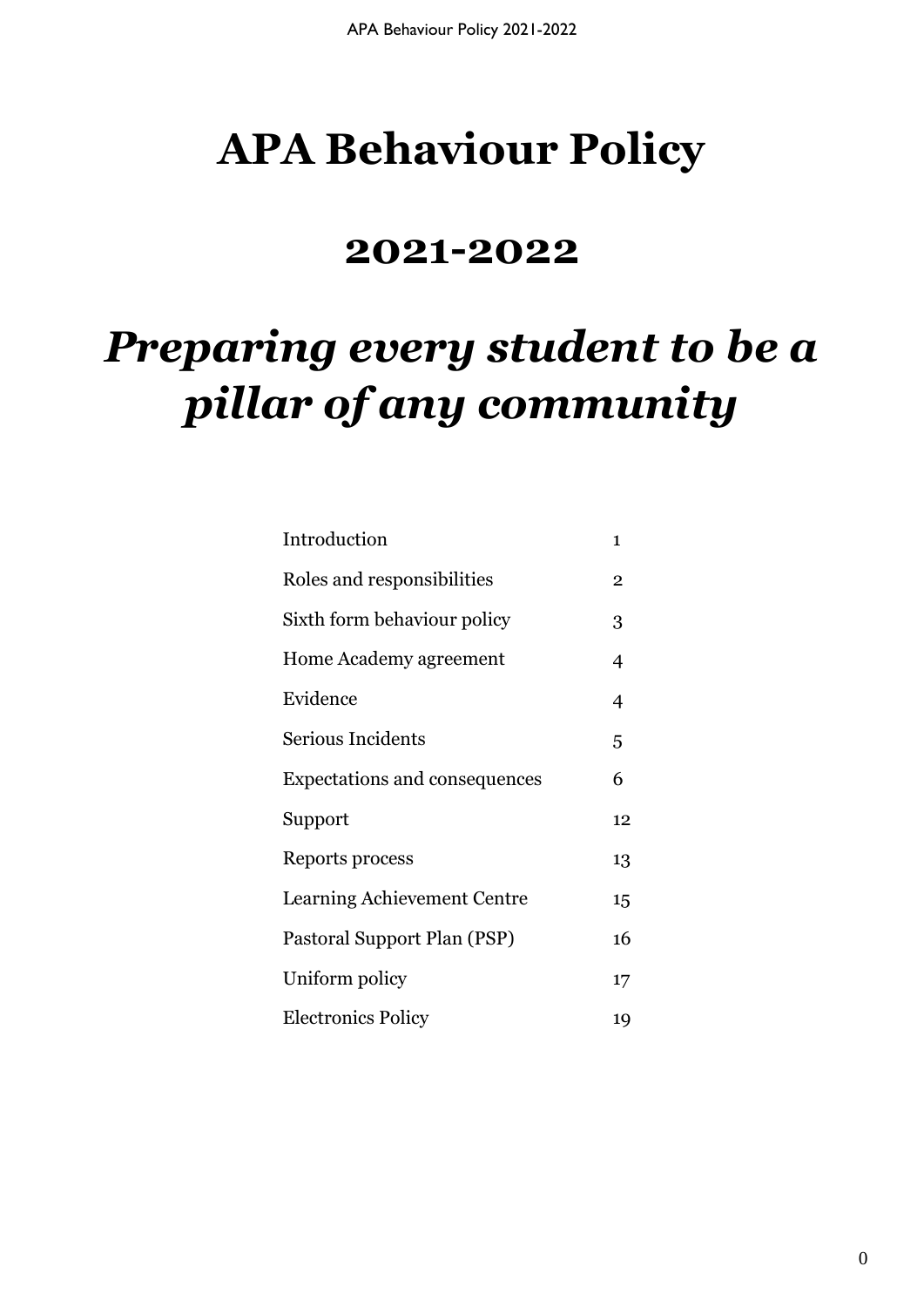# **APA Behaviour Policy**

## **2021-2022**

# *Preparing every student to be a pillar of any community*

| Introduction                       | 1              |
|------------------------------------|----------------|
| Roles and responsibilities         | $\overline{2}$ |
| Sixth form behaviour policy        | 3              |
| Home Academy agreement             | 4              |
| Evidence                           | $\overline{4}$ |
| Serious Incidents                  | 5              |
| Expectations and consequences      | 6              |
| Support                            | 12             |
| Reports process                    | 13             |
| <b>Learning Achievement Centre</b> | 15             |
| Pastoral Support Plan (PSP)        | 16             |
| Uniform policy                     | 17             |
| <b>Electronics Policy</b>          | 19             |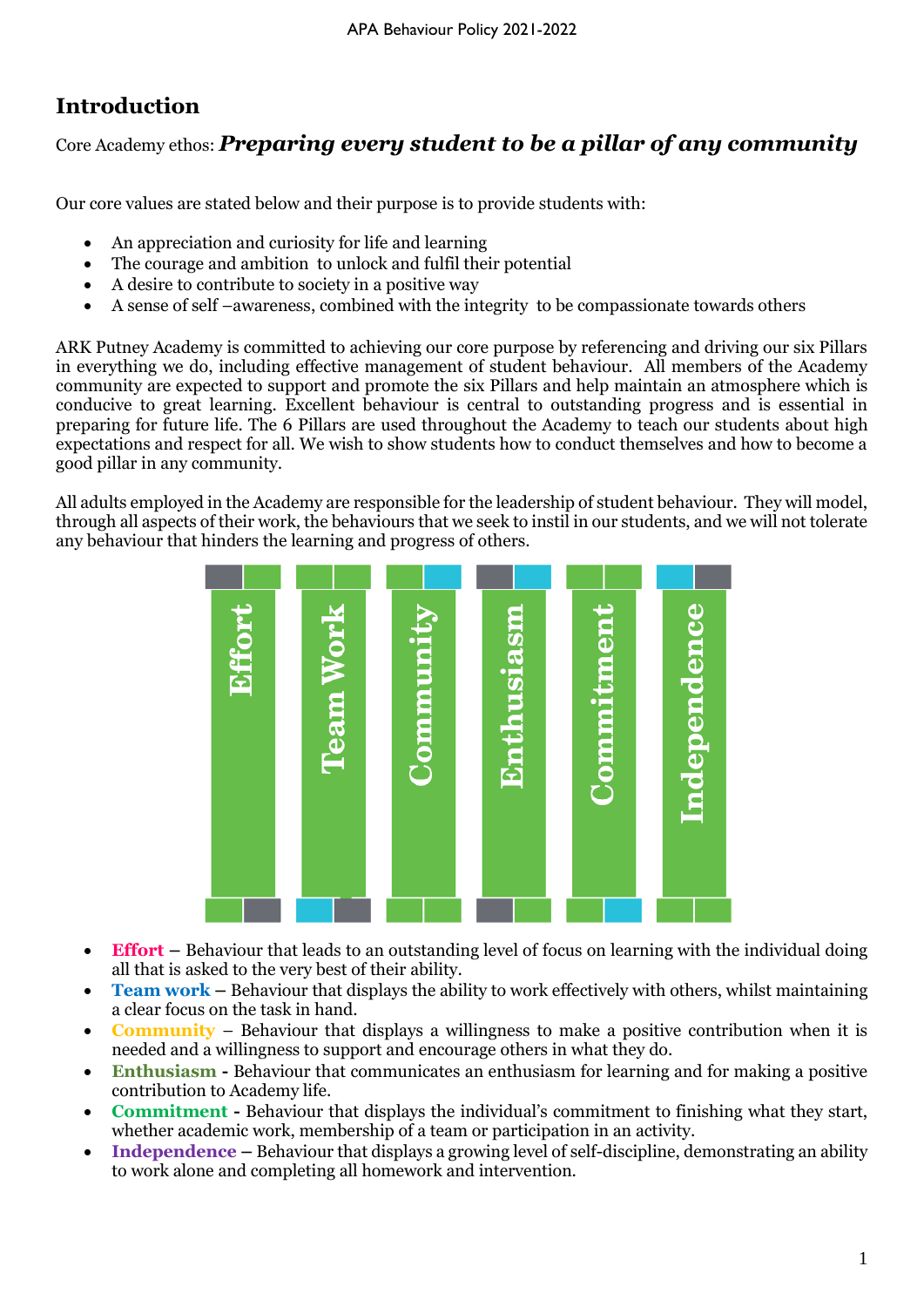## **Introduction**

Core Academy ethos: *Preparing every student to be a pillar of any community*

Our core values are stated below and their purpose is to provide students with:

- An appreciation and curiosity for life and learning
- The courage and ambition to unlock and fulfil their potential
- A desire to contribute to society in a positive way
- A sense of self –awareness, combined with the integrity to be compassionate towards others

ARK Putney Academy is committed to achieving our core purpose by referencing and driving our six Pillars in everything we do, including effective management of student behaviour. All members of the Academy community are expected to support and promote the six Pillars and help maintain an atmosphere which is conducive to great learning. Excellent behaviour is central to outstanding progress and is essential in preparing for future life. The 6 Pillars are used throughout the Academy to teach our students about high expectations and respect for all. We wish to show students how to conduct themselves and how to become a good pillar in any community.

All adults employed in the Academy are responsible for the leadership of student behaviour. They will model, through all aspects of their work, the behaviours that we seek to instil in our students, and we will not tolerate any behaviour that hinders the learning and progress of others.



- **Effort –** Behaviour that leads to an outstanding level of focus on learning with the individual doing all that is asked to the very best of their ability.
- **Team work –** Behaviour that displays the ability to work effectively with others, whilst maintaining a clear focus on the task in hand.
- **Community** Behaviour that displays a willingness to make a positive contribution when it is needed and a willingness to support and encourage others in what they do.
- **Enthusiasm -** Behaviour that communicates an enthusiasm for learning and for making a positive contribution to Academy life.
- **Commitment -** Behaviour that displays the individual's commitment to finishing what they start, whether academic work, membership of a team or participation in an activity.
- **Independence –** Behaviour that displays a growing level of self-discipline, demonstrating an ability to work alone and completing all homework and intervention.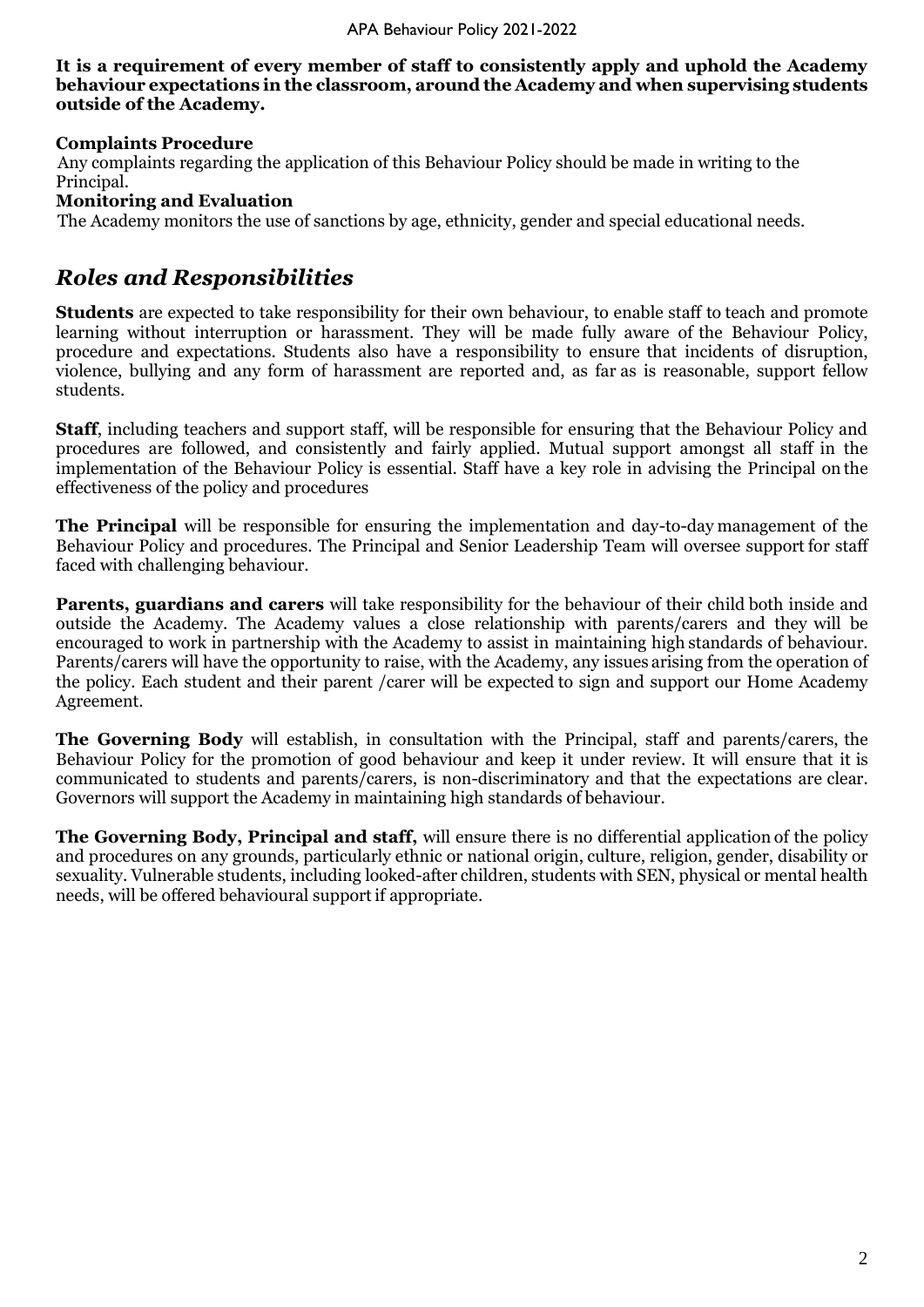**It is a requirement of every member of staff to consistently apply and uphold the Academy behaviour expectations in the classroom, around the Academy and when supervising students outside of the Academy.**

#### **Complaints Procedure**

 Any complaints regarding the application of this Behaviour Policy should be made in writing to the Principal.

**Monitoring and Evaluation**

The Academy monitors the use of sanctions by age, ethnicity, gender and special educational needs.

#### *Roles and Responsibilities*

**Students** are expected to take responsibility for their own behaviour, to enable staff to teach and promote learning without interruption or harassment. They will be made fully aware of the Behaviour Policy, procedure and expectations. Students also have a responsibility to ensure that incidents of disruption, violence, bullying and any form of harassment are reported and, as far as is reasonable, support fellow students.

**Staff**, including teachers and support staff, will be responsible for ensuring that the Behaviour Policy and procedures are followed, and consistently and fairly applied. Mutual support amongst all staff in the implementation of the Behaviour Policy is essential. Staff have a key role in advising the Principal on the effectiveness of the policy and procedures

**The Principal** will be responsible for ensuring the implementation and day-to-day management of the Behaviour Policy and procedures. The Principal and Senior Leadership Team will oversee support for staff faced with challenging behaviour.

**Parents, guardians and carers** will take responsibility for the behaviour of their child both inside and outside the Academy. The Academy values a close relationship with parents/carers and they will be encouraged to work in partnership with the Academy to assist in maintaining high standards of behaviour. Parents/carers will have the opportunity to raise, with the Academy, any issues arising from the operation of the policy. Each student and their parent /carer will be expected to sign and support our Home Academy Agreement.

**The Governing Body** will establish, in consultation with the Principal, staff and parents/carers, the Behaviour Policy for the promotion of good behaviour and keep it under review. It will ensure that it is communicated to students and parents/carers, is non-discriminatory and that the expectations are clear. Governors will support the Academy in maintaining high standards of behaviour.

**The Governing Body, Principal and staff,** will ensure there is no differential application of the policy and procedures on any grounds, particularly ethnic or national origin, culture, religion, gender, disability or sexuality. Vulnerable students, including looked-after children, students with SEN, physical or mental health needs, will be offered behavioural support if appropriate.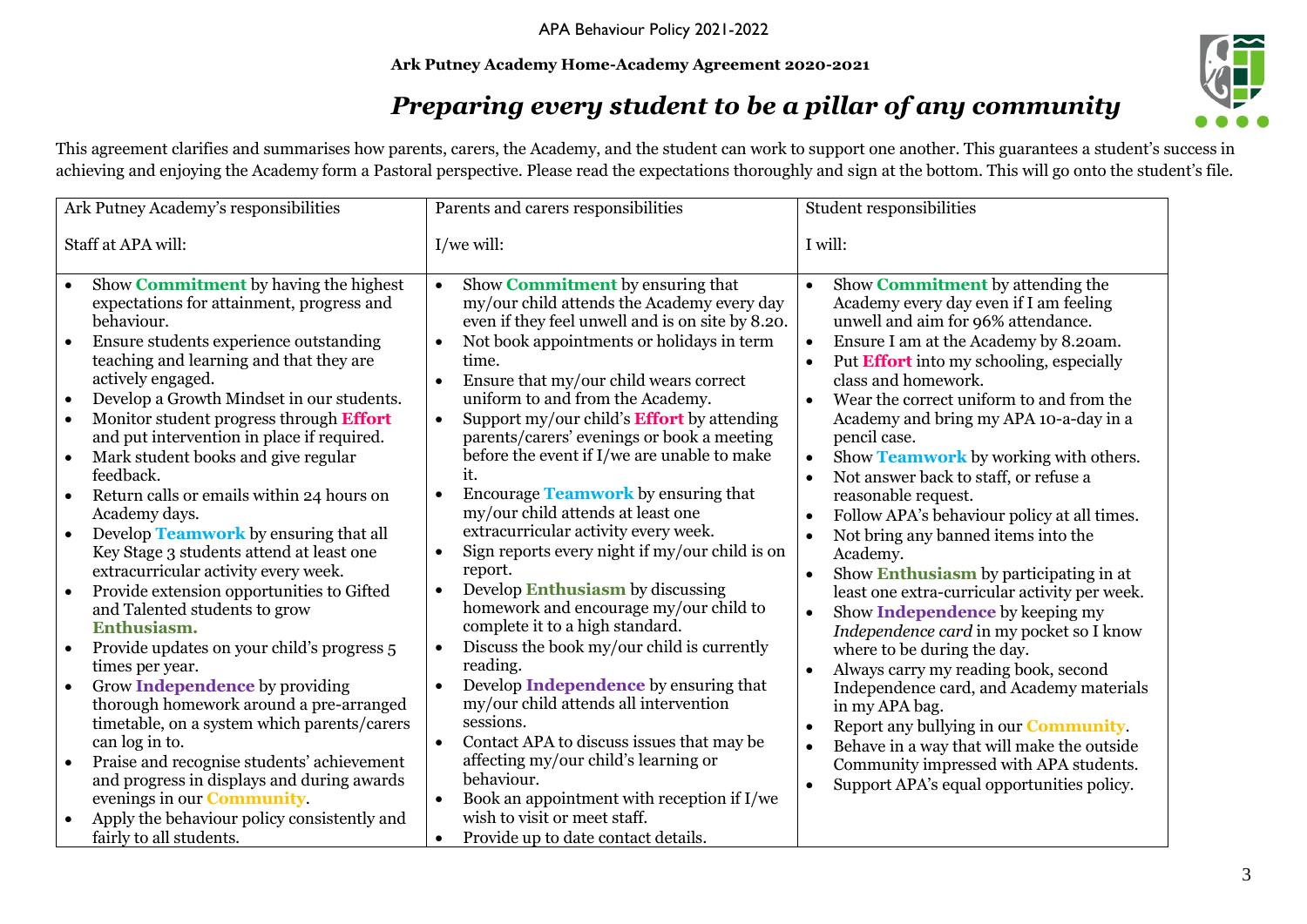#### **Ark Putney Academy Home-Academy Agreement 2020-2021**



## *Preparing every student to be a pillar of any community*

This agreement clarifies and summarises how parents, carers, the Academy, and the student can work to support one another. This guarantees a student's success in achieving and enjoying the Academy form a Pastoral perspective. Please read the expectations thoroughly and sign at the bottom. This will go onto the student's file.

| Ark Putney Academy's responsibilities                                                                                                                                                                                                                                                                                                                                                                                                                                                                                                                                                                                                                                                                                                                                                                                                                                                                                                                                                                                                                                                                                                                                                                                     | Parents and carers responsibilities                                                                                                                                                                                                                                                                                                                                                                                                                                                                                                                                                                                                                                                                                                                                                                                                                                                                                                                                                                                                                                                                                                                                                                                                                                       | Student responsibilities                                                                                                                                                                                                                                                                                                                                                                                                                                                                                                                                                                                                                                                                                                                                                                                                                                                                                                                                                                                                                                                                                                                                                                                                                                      |
|---------------------------------------------------------------------------------------------------------------------------------------------------------------------------------------------------------------------------------------------------------------------------------------------------------------------------------------------------------------------------------------------------------------------------------------------------------------------------------------------------------------------------------------------------------------------------------------------------------------------------------------------------------------------------------------------------------------------------------------------------------------------------------------------------------------------------------------------------------------------------------------------------------------------------------------------------------------------------------------------------------------------------------------------------------------------------------------------------------------------------------------------------------------------------------------------------------------------------|---------------------------------------------------------------------------------------------------------------------------------------------------------------------------------------------------------------------------------------------------------------------------------------------------------------------------------------------------------------------------------------------------------------------------------------------------------------------------------------------------------------------------------------------------------------------------------------------------------------------------------------------------------------------------------------------------------------------------------------------------------------------------------------------------------------------------------------------------------------------------------------------------------------------------------------------------------------------------------------------------------------------------------------------------------------------------------------------------------------------------------------------------------------------------------------------------------------------------------------------------------------------------|---------------------------------------------------------------------------------------------------------------------------------------------------------------------------------------------------------------------------------------------------------------------------------------------------------------------------------------------------------------------------------------------------------------------------------------------------------------------------------------------------------------------------------------------------------------------------------------------------------------------------------------------------------------------------------------------------------------------------------------------------------------------------------------------------------------------------------------------------------------------------------------------------------------------------------------------------------------------------------------------------------------------------------------------------------------------------------------------------------------------------------------------------------------------------------------------------------------------------------------------------------------|
| Staff at APA will:                                                                                                                                                                                                                                                                                                                                                                                                                                                                                                                                                                                                                                                                                                                                                                                                                                                                                                                                                                                                                                                                                                                                                                                                        | $I$ /we will:                                                                                                                                                                                                                                                                                                                                                                                                                                                                                                                                                                                                                                                                                                                                                                                                                                                                                                                                                                                                                                                                                                                                                                                                                                                             | I will:                                                                                                                                                                                                                                                                                                                                                                                                                                                                                                                                                                                                                                                                                                                                                                                                                                                                                                                                                                                                                                                                                                                                                                                                                                                       |
| Show Commitment by having the highest<br>$\bullet$<br>expectations for attainment, progress and<br>behaviour.<br>Ensure students experience outstanding<br>teaching and learning and that they are<br>actively engaged.<br>Develop a Growth Mindset in our students.<br>$\bullet$<br>Monitor student progress through Effort<br>$\bullet$<br>and put intervention in place if required.<br>Mark student books and give regular<br>$\bullet$<br>feedback.<br>Return calls or emails within 24 hours on<br>Academy days.<br>Develop <b>Teamwork</b> by ensuring that all<br>Key Stage 3 students attend at least one<br>extracurricular activity every week.<br>Provide extension opportunities to Gifted<br>$\bullet$<br>and Talented students to grow<br>Enthusiasm.<br>Provide updates on your child's progress 5<br>times per year.<br>Grow Independence by providing<br>$\bullet$<br>thorough homework around a pre-arranged<br>timetable, on a system which parents/carers<br>can log in to.<br>Praise and recognise students' achievement<br>$\bullet$<br>and progress in displays and during awards<br>evenings in our <b>Community</b> .<br>Apply the behaviour policy consistently and<br>fairly to all students. | Show <b>Commitment</b> by ensuring that<br>$\bullet$<br>my/our child attends the Academy every day<br>even if they feel unwell and is on site by 8.20.<br>Not book appointments or holidays in term<br>time.<br>Ensure that my/our child wears correct<br>$\bullet$<br>uniform to and from the Academy.<br>Support my/our child's <b>Effort</b> by attending<br>$\bullet$<br>parents/carers' evenings or book a meeting<br>before the event if I/we are unable to make<br>it.<br>Encourage Teamwork by ensuring that<br>$\bullet$<br>my/our child attends at least one<br>extracurricular activity every week.<br>Sign reports every night if my/our child is on<br>$\bullet$<br>report.<br>Develop <b>Enthusiasm</b> by discussing<br>$\bullet$<br>homework and encourage my/our child to<br>complete it to a high standard.<br>Discuss the book my/our child is currently<br>$\bullet$<br>reading.<br>Develop <b>Independence</b> by ensuring that<br>$\bullet$<br>my/our child attends all intervention<br>sessions.<br>Contact APA to discuss issues that may be<br>$\bullet$<br>affecting my/our child's learning or<br>behaviour.<br>Book an appointment with reception if I/we<br>wish to visit or meet staff.<br>Provide up to date contact details.<br>$\bullet$ | Show <b>Commitment</b> by attending the<br>$\bullet$<br>Academy every day even if I am feeling<br>unwell and aim for 96% attendance.<br>Ensure I am at the Academy by 8.20am.<br>$\bullet$<br>Put Effort into my schooling, especially<br>$\bullet$<br>class and homework.<br>Wear the correct uniform to and from the<br>$\bullet$<br>Academy and bring my APA 10-a-day in a<br>pencil case.<br>Show <b>Teamwork</b> by working with others.<br>$\bullet$<br>Not answer back to staff, or refuse a<br>$\bullet$<br>reasonable request.<br>Follow APA's behaviour policy at all times.<br>$\bullet$<br>Not bring any banned items into the<br>$\bullet$<br>Academy.<br>Show Enthusiasm by participating in at<br>$\bullet$<br>least one extra-curricular activity per week.<br>Show <b>Independence</b> by keeping my<br>$\bullet$<br>Independence card in my pocket so I know<br>where to be during the day.<br>Always carry my reading book, second<br>$\bullet$<br>Independence card, and Academy materials<br>in my APA bag.<br>Report any bullying in our <b>Community</b> .<br>$\bullet$<br>Behave in a way that will make the outside<br>$\bullet$<br>Community impressed with APA students.<br>Support APA's equal opportunities policy.<br>$\bullet$ |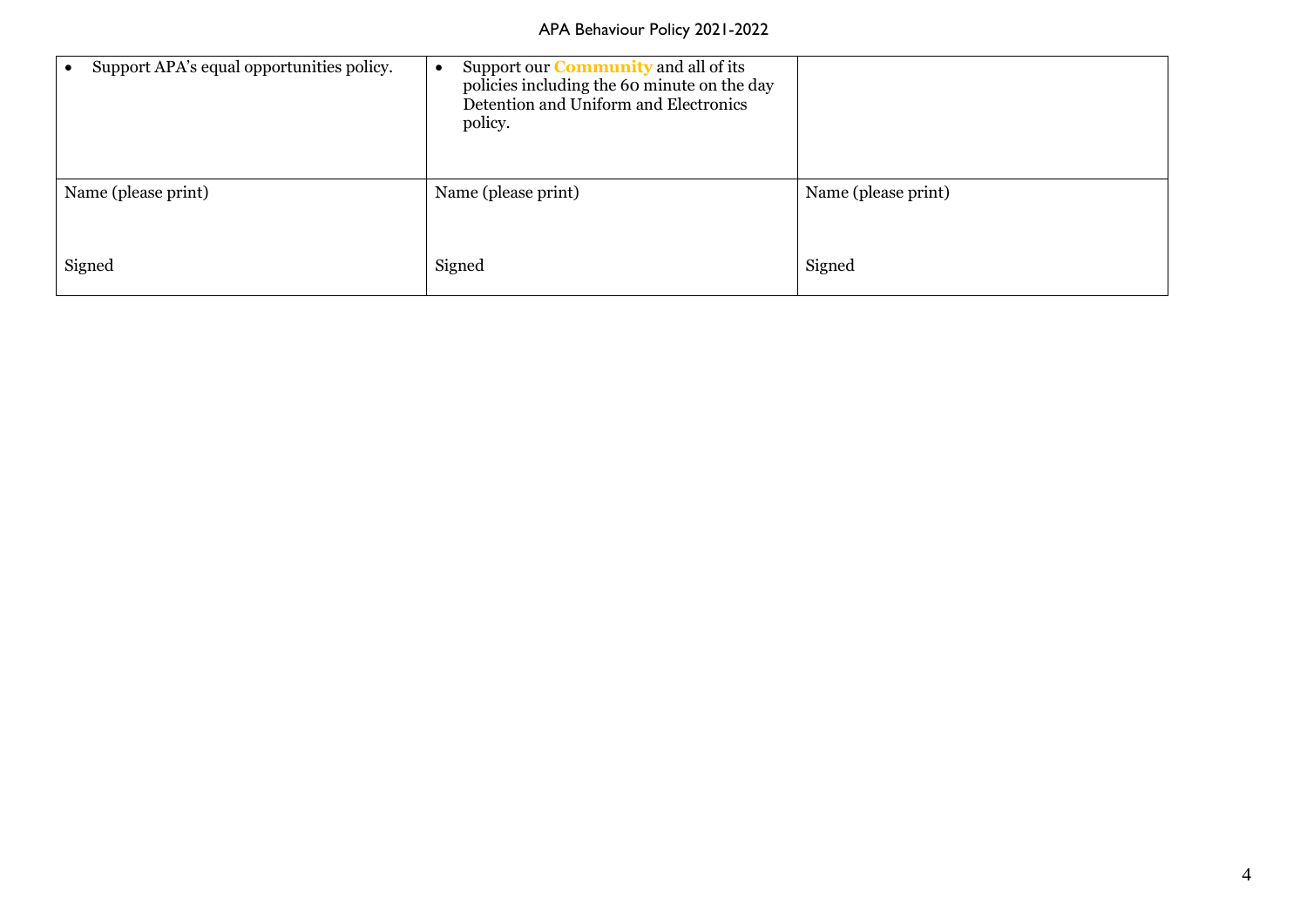| Support APA's equal opportunities policy. | Support our <b>Community</b> and all of its<br>policies including the 60 minute on the day<br>Detention and Uniform and Electronics<br>policy. |                     |
|-------------------------------------------|------------------------------------------------------------------------------------------------------------------------------------------------|---------------------|
| Name (please print)                       | Name (please print)                                                                                                                            | Name (please print) |
| Signed                                    | Signed                                                                                                                                         | Signed              |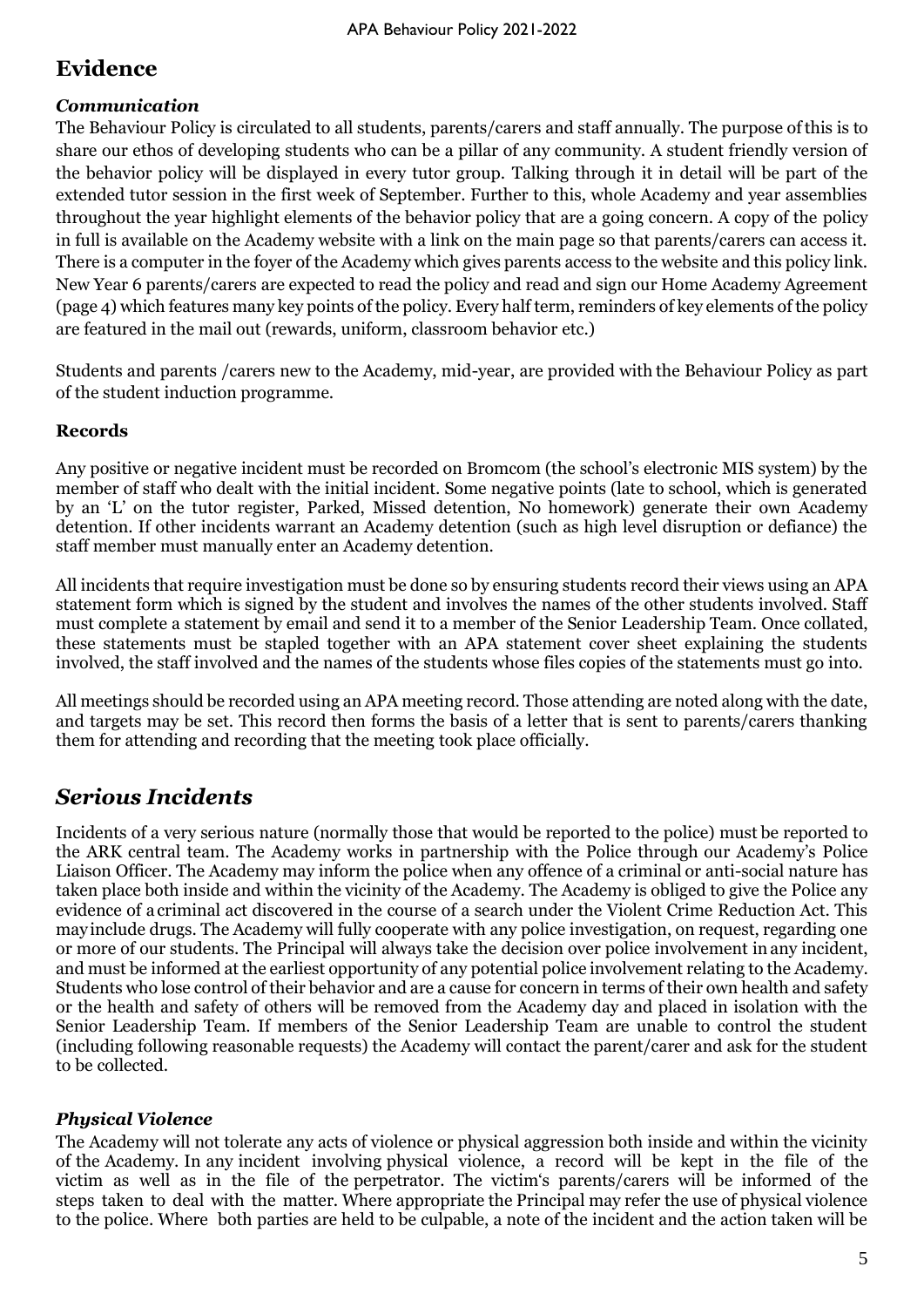## **Evidence**

#### *Communication*

The Behaviour Policy is circulated to all students, parents/carers and staff annually. The purpose ofthis is to share our ethos of developing students who can be a pillar of any community. A student friendly version of the behavior policy will be displayed in every tutor group. Talking through it in detail will be part of the extended tutor session in the first week of September. Further to this, whole Academy and year assemblies throughout the year highlight elements of the behavior policy that are a going concern. A copy of the policy in full is available on the Academy website with a link on the main page so that parents/carers can access it. There is a computer in the foyer of the Academy which gives parents access to the website and this policy link. New Year 6 parents/carers are expected to read the policy and read and sign our Home Academy Agreement (page 4) which features many key points of the policy. Every half term, reminders of key elements of the policy are featured in the mail out (rewards, uniform, classroom behavior etc.)

Students and parents /carers new to the Academy, mid-year, are provided with the Behaviour Policy as part of the student induction programme.

#### **Records**

Any positive or negative incident must be recorded on Bromcom (the school's electronic MIS system) by the member of staff who dealt with the initial incident. Some negative points (late to school, which is generated by an 'L' on the tutor register, Parked, Missed detention, No homework) generate their own Academy detention. If other incidents warrant an Academy detention (such as high level disruption or defiance) the staff member must manually enter an Academy detention.

All incidents that require investigation must be done so by ensuring students record their views using an APA statement form which is signed by the student and involves the names of the other students involved. Staff must complete a statement by email and send it to a member of the Senior Leadership Team. Once collated, these statements must be stapled together with an APA statement cover sheet explaining the students involved, the staff involved and the names of the students whose files copies of the statements must go into.

All meetings should be recorded using an APA meeting record. Those attending are noted along with the date, and targets may be set. This record then forms the basis of a letter that is sent to parents/carers thanking them for attending and recording that the meeting took place officially.

## *Serious Incidents*

Incidents of a very serious nature (normally those that would be reported to the police) must be reported to the ARK central team. The Academy works in partnership with the Police through our Academy's Police Liaison Officer. The Academy may inform the police when any offence of a criminal or anti-social nature has taken place both inside and within the vicinity of the Academy. The Academy is obliged to give the Police any evidence of acriminal act discovered in the course of a search under the Violent Crime Reduction Act. This mayinclude drugs. The Academy will fully cooperate with any police investigation, on request, regarding one or more of our students. The Principal will always take the decision over police involvement in any incident, and must be informed at the earliest opportunity of any potential police involvement relating to the Academy. Students who lose control of their behavior and are a cause for concern in terms of their own health and safety or the health and safety of others will be removed from the Academy day and placed in isolation with the Senior Leadership Team. If members of the Senior Leadership Team are unable to control the student (including following reasonable requests) the Academy will contact the parent/carer and ask for the student to be collected.

#### *Physical Violence*

The Academy will not tolerate any acts of violence or physical aggression both inside and within the vicinity of the Academy. In any incident involving physical violence, a record will be kept in the file of the victim as well as in the file of the perpetrator. The victim's parents/carers will be informed of the steps taken to deal with the matter. Where appropriate the Principal may refer the use of physical violence to the police. Where both parties are held to be culpable, a note of the incident and the action taken will be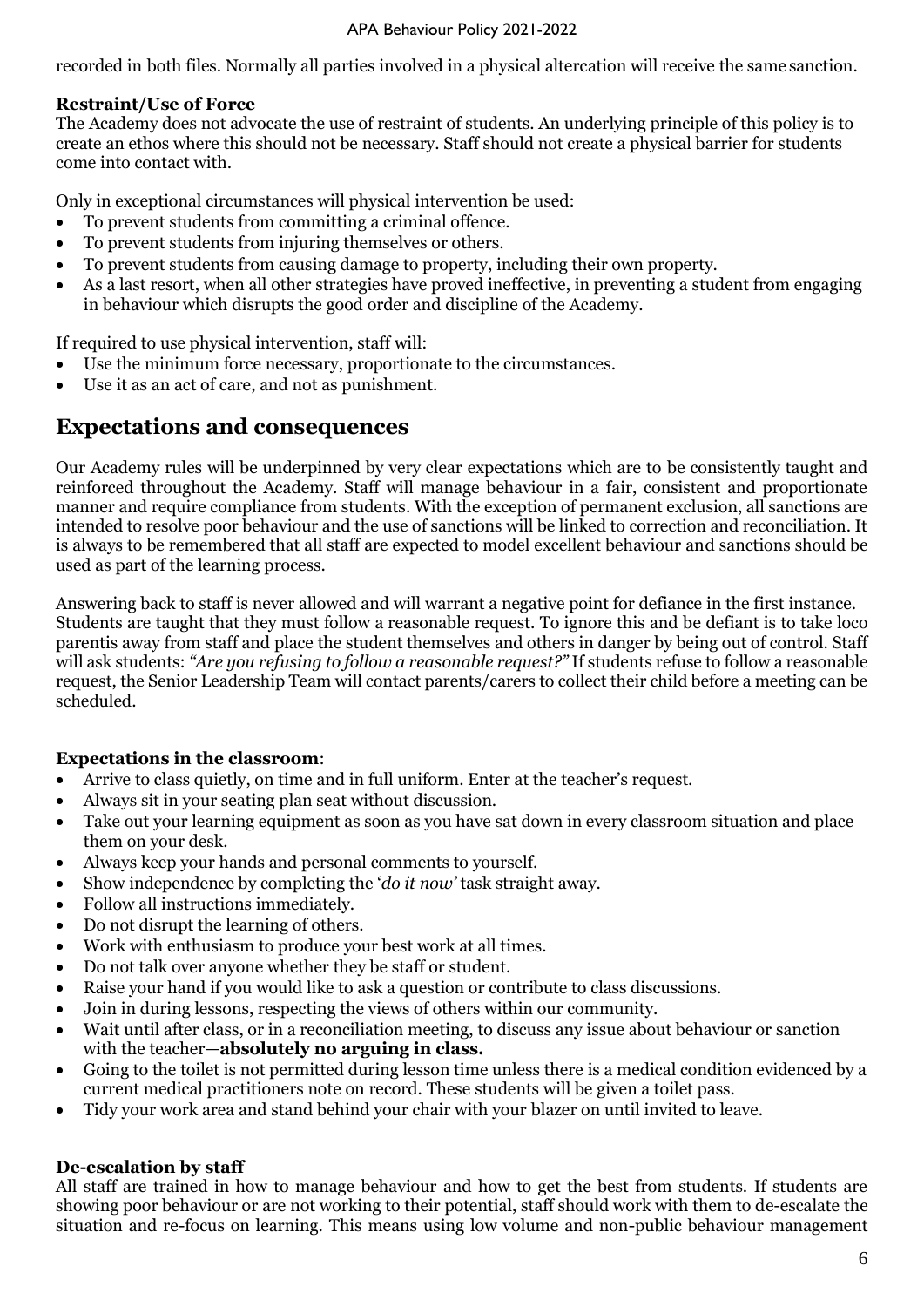recorded in both files. Normally all parties involved in a physical altercation will receive the same sanction.

#### **Restraint/Use of Force**

The Academy does not advocate the use of restraint of students. An underlying principle of this policy is to create an ethos where this should not be necessary. Staff should not create a physical barrier for students come into contact with.

Only in exceptional circumstances will physical intervention be used:

- To prevent students from committing a criminal offence.
- To prevent students from injuring themselves or others.
- To prevent students from causing damage to property, including their own property.
- As a last resort, when all other strategies have proved ineffective, in preventing a student from engaging in behaviour which disrupts the good order and discipline of the Academy.

If required to use physical intervention, staff will:

- Use the minimum force necessary, proportionate to the circumstances.
- Use it as an act of care, and not as punishment.

## **Expectations and consequences**

Our Academy rules will be underpinned by very clear expectations which are to be consistently taught and reinforced throughout the Academy. Staff will manage behaviour in a fair, consistent and proportionate manner and require compliance from students. With the exception of permanent exclusion, all sanctions are intended to resolve poor behaviour and the use of sanctions will be linked to correction and reconciliation. It is always to be remembered that all staff are expected to model excellent behaviour and sanctions should be used as part of the learning process.

Answering back to staff is never allowed and will warrant a negative point for defiance in the first instance. Students are taught that they must follow a reasonable request. To ignore this and be defiant is to take loco parentis away from staff and place the student themselves and others in danger by being out of control. Staff will ask students: *"Are you refusing to follow a reasonable request?"* If students refuse to follow a reasonable request, the Senior Leadership Team will contact parents/carers to collect their child before a meeting can be scheduled.

#### **Expectations in the classroom**:

- Arrive to class quietly, on time and in full uniform. Enter at the teacher's request.
- Always sit in your seating plan seat without discussion.
- Take out your learning equipment as soon as you have sat down in every classroom situation and place them on your desk.
- Always keep your hands and personal comments to yourself.
- Show independence by completing the '*do it now'* task straight away.
- Follow all instructions immediately.
- Do not disrupt the learning of others.
- Work with enthusiasm to produce your best work at all times.
- Do not talk over anyone whether they be staff or student.
- Raise your hand if you would like to ask a question or contribute to class discussions.
- Join in during lessons, respecting the views of others within our community.
- Wait until after class, or in a reconciliation meeting, to discuss any issue about behaviour or sanction with the teacher—**absolutely no arguing in class.**
- Going to the toilet is not permitted during lesson time unless there is a medical condition evidenced by a current medical practitioners note on record. These students will be given a toilet pass.
- Tidy your work area and stand behind your chair with your blazer on until invited to leave.

#### **De-escalation by staff**

All staff are trained in how to manage behaviour and how to get the best from students. If students are showing poor behaviour or are not working to their potential, staff should work with them to de-escalate the situation and re-focus on learning. This means using low volume and non-public behaviour management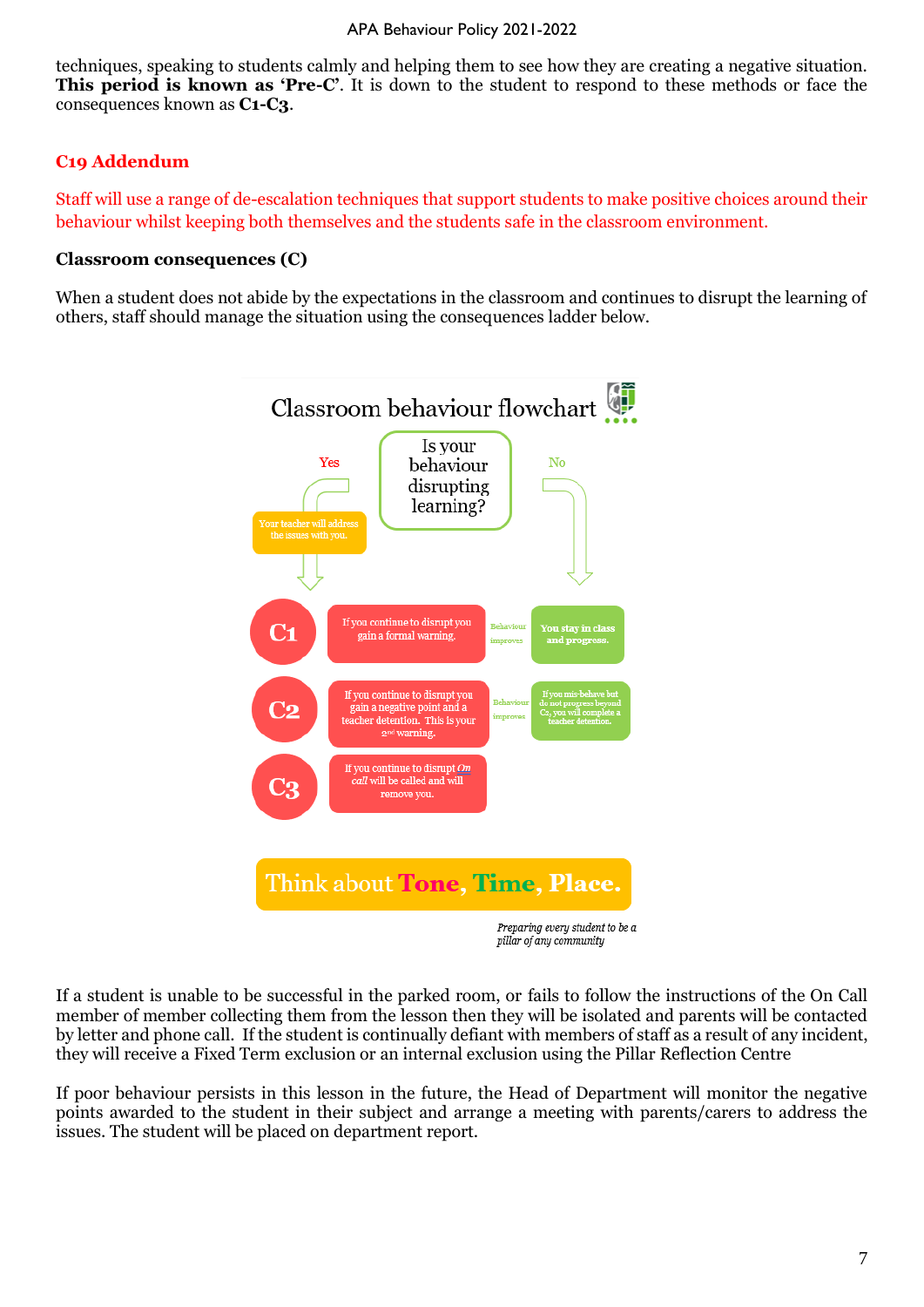techniques, speaking to students calmly and helping them to see how they are creating a negative situation. **This period is known as 'Pre-C'**. It is down to the student to respond to these methods or face the consequences known as **C1-C3**.

#### **C19 Addendum**

Staff will use a range of de-escalation techniques that support students to make positive choices around their behaviour whilst keeping both themselves and the students safe in the classroom environment.

#### **Classroom consequences (C)**

When a student does not abide by the expectations in the classroom and continues to disrupt the learning of others, staff should manage the situation using the consequences ladder below.



If a student is unable to be successful in the parked room, or fails to follow the instructions of the On Call member of member collecting them from the lesson then they will be isolated and parents will be contacted by letter and phone call. If the student is continually defiant with members of staff as a result of any incident, they will receive a Fixed Term exclusion or an internal exclusion using the Pillar Reflection Centre

If poor behaviour persists in this lesson in the future, the Head of Department will monitor the negative points awarded to the student in their subject and arrange a meeting with parents/carers to address the issues. The student will be placed on department report.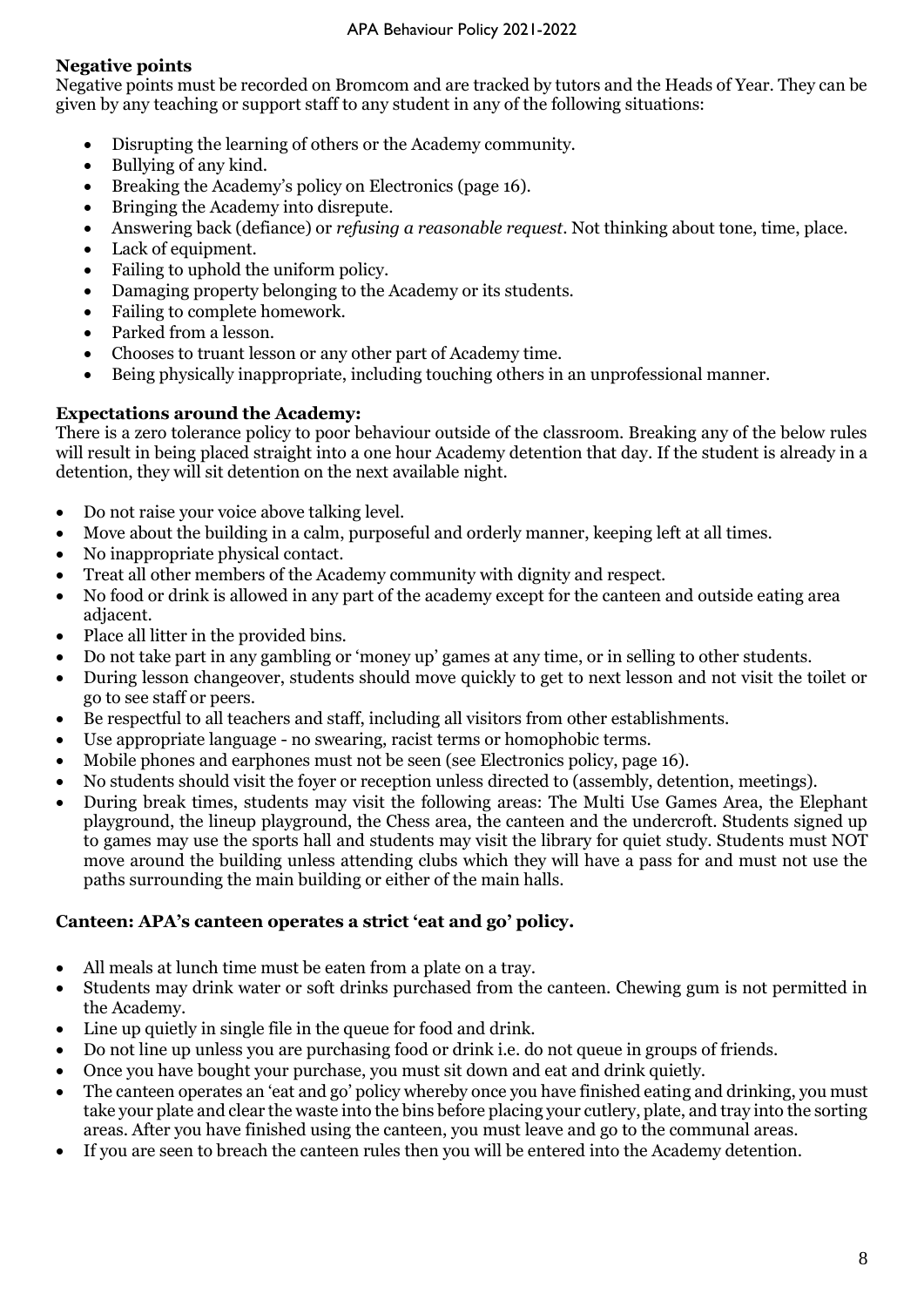#### **Negative points**

Negative points must be recorded on Bromcom and are tracked by tutors and the Heads of Year. They can be given by any teaching or support staff to any student in any of the following situations:

- Disrupting the learning of others or the Academy community.
- Bullying of any kind.
- Breaking the Academy's policy on Electronics (page 16).
- Bringing the Academy into disrepute.
- Answering back (defiance) or *refusing a reasonable request*. Not thinking about tone, time, place.
- Lack of equipment.
- Failing to uphold the uniform policy.
- Damaging property belonging to the Academy or its students.
- Failing to complete homework.
- Parked from a lesson.
- Chooses to truant lesson or any other part of Academy time.
- Being physically inappropriate, including touching others in an unprofessional manner.

#### **Expectations around the Academy:**

There is a zero tolerance policy to poor behaviour outside of the classroom. Breaking any of the below rules will result in being placed straight into a one hour Academy detention that day. If the student is already in a detention, they will sit detention on the next available night.

- Do not raise your voice above talking level.
- Move about the building in a calm, purposeful and orderly manner, keeping left at all times.
- No inappropriate physical contact.
- Treat all other members of the Academy community with dignity and respect.
- No food or drink is allowed in any part of the academy except for the canteen and outside eating area adjacent.
- Place all litter in the provided bins.
- Do not take part in any gambling or 'money up' games at any time, or in selling to other students.
- During lesson changeover, students should move quickly to get to next lesson and not visit the toilet or go to see staff or peers.
- Be respectful to all teachers and staff, including all visitors from other establishments.
- Use appropriate language no swearing, racist terms or homophobic terms.
- Mobile phones and earphones must not be seen (see Electronics policy, page 16).
- No students should visit the foyer or reception unless directed to (assembly, detention, meetings).
- During break times, students may visit the following areas: The Multi Use Games Area, the Elephant playground, the lineup playground, the Chess area, the canteen and the undercroft. Students signed up to games may use the sports hall and students may visit the library for quiet study. Students must NOT move around the building unless attending clubs which they will have a pass for and must not use the paths surrounding the main building or either of the main halls.

#### **Canteen: APA's canteen operates a strict 'eat and go' policy.**

- All meals at lunch time must be eaten from a plate on a tray.
- Students may drink water or soft drinks purchased from the canteen. Chewing gum is not permitted in the Academy.
- Line up quietly in single file in the queue for food and drink.
- Do not line up unless you are purchasing food or drink i.e. do not queue in groups of friends.
- Once you have bought your purchase, you must sit down and eat and drink quietly.
- The canteen operates an 'eat and go' policy whereby once you have finished eating and drinking, you must take your plate and clear the waste into the bins before placing your cutlery, plate, and tray into the sorting areas. After you have finished using the canteen, you must leave and go to the communal areas.
- If you are seen to breach the canteen rules then you will be entered into the Academy detention.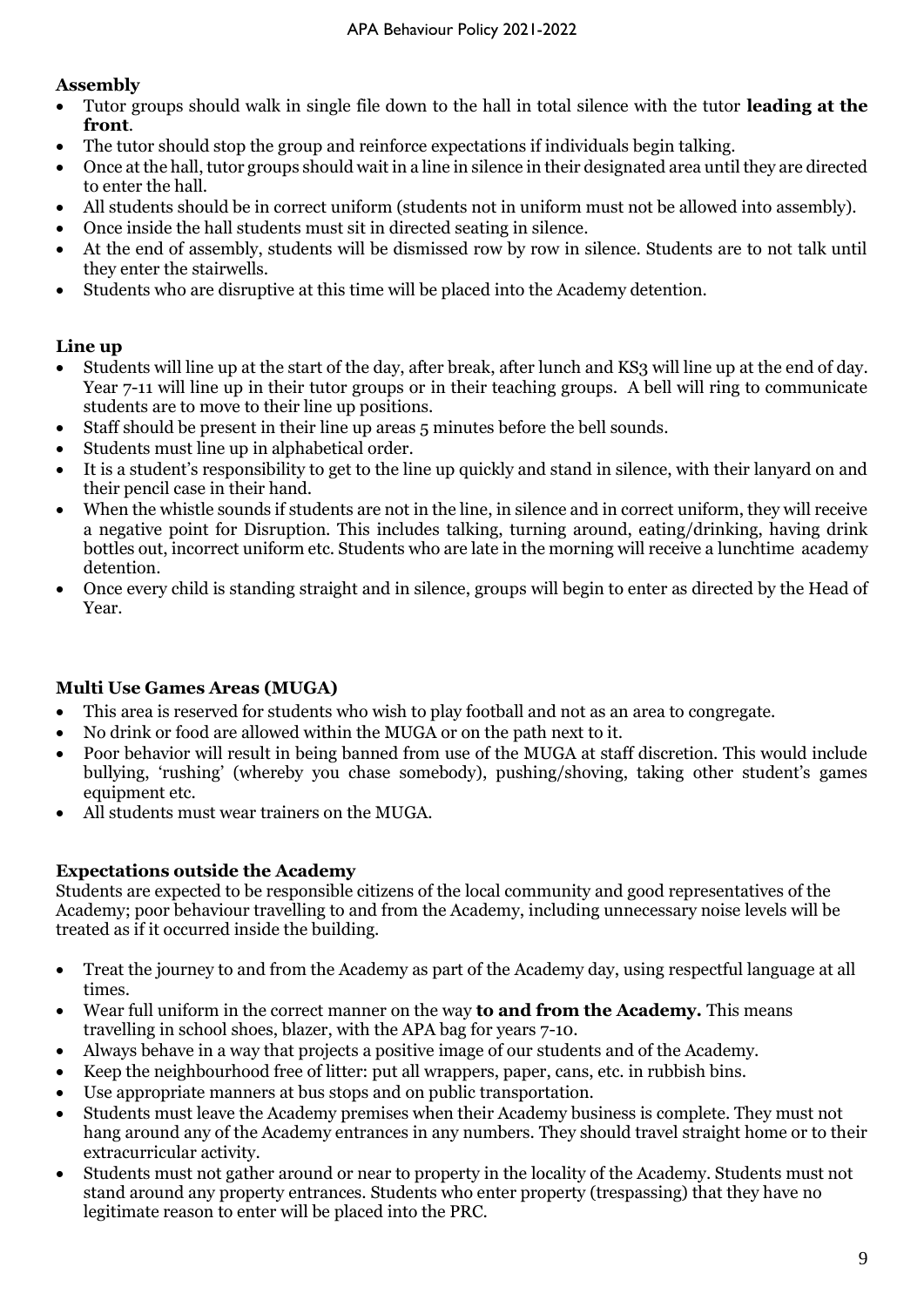#### **Assembly**

- Tutor groups should walk in single file down to the hall in total silence with the tutor **leading at the front**.
- The tutor should stop the group and reinforce expectations if individuals begin talking.
- Once at the hall, tutor groups should wait in a line in silence in their designated area until they are directed to enter the hall.
- All students should be in correct uniform (students not in uniform must not be allowed into assembly).
- Once inside the hall students must sit in directed seating in silence.
- At the end of assembly, students will be dismissed row by row in silence. Students are to not talk until they enter the stairwells.
- Students who are disruptive at this time will be placed into the Academy detention.

#### **Line up**

- Students will line up at the start of the day, after break, after lunch and KS3 will line up at the end of day. Year 7-11 will line up in their tutor groups or in their teaching groups. A bell will ring to communicate students are to move to their line up positions.
- Staff should be present in their line up areas 5 minutes before the bell sounds.
- Students must line up in alphabetical order.
- It is a student's responsibility to get to the line up quickly and stand in silence, with their lanyard on and their pencil case in their hand.
- When the whistle sounds if students are not in the line, in silence and in correct uniform, they will receive a negative point for Disruption. This includes talking, turning around, eating/drinking, having drink bottles out, incorrect uniform etc. Students who are late in the morning will receive a lunchtime academy detention.
- Once every child is standing straight and in silence, groups will begin to enter as directed by the Head of Year.

#### **Multi Use Games Areas (MUGA)**

- This area is reserved for students who wish to play football and not as an area to congregate.
- No drink or food are allowed within the MUGA or on the path next to it.
- Poor behavior will result in being banned from use of the MUGA at staff discretion. This would include bullying, 'rushing' (whereby you chase somebody), pushing/shoving, taking other student's games equipment etc.
- All students must wear trainers on the MUGA.

#### **Expectations outside the Academy**

Students are expected to be responsible citizens of the local community and good representatives of the Academy; poor behaviour travelling to and from the Academy, including unnecessary noise levels will be treated as if it occurred inside the building.

- Treat the journey to and from the Academy as part of the Academy day, using respectful language at all times.
- Wear full uniform in the correct manner on the way **to and from the Academy.** This means travelling in school shoes, blazer, with the APA bag for years 7-10.
- Always behave in a way that projects a positive image of our students and of the Academy.
- Keep the neighbourhood free of litter: put all wrappers, paper, cans, etc. in rubbish bins.
- Use appropriate manners at bus stops and on public transportation.
- Students must leave the Academy premises when their Academy business is complete. They must not hang around any of the Academy entrances in any numbers. They should travel straight home or to their extracurricular activity.
- Students must not gather around or near to property in the locality of the Academy. Students must not stand around any property entrances. Students who enter property (trespassing) that they have no legitimate reason to enter will be placed into the PRC.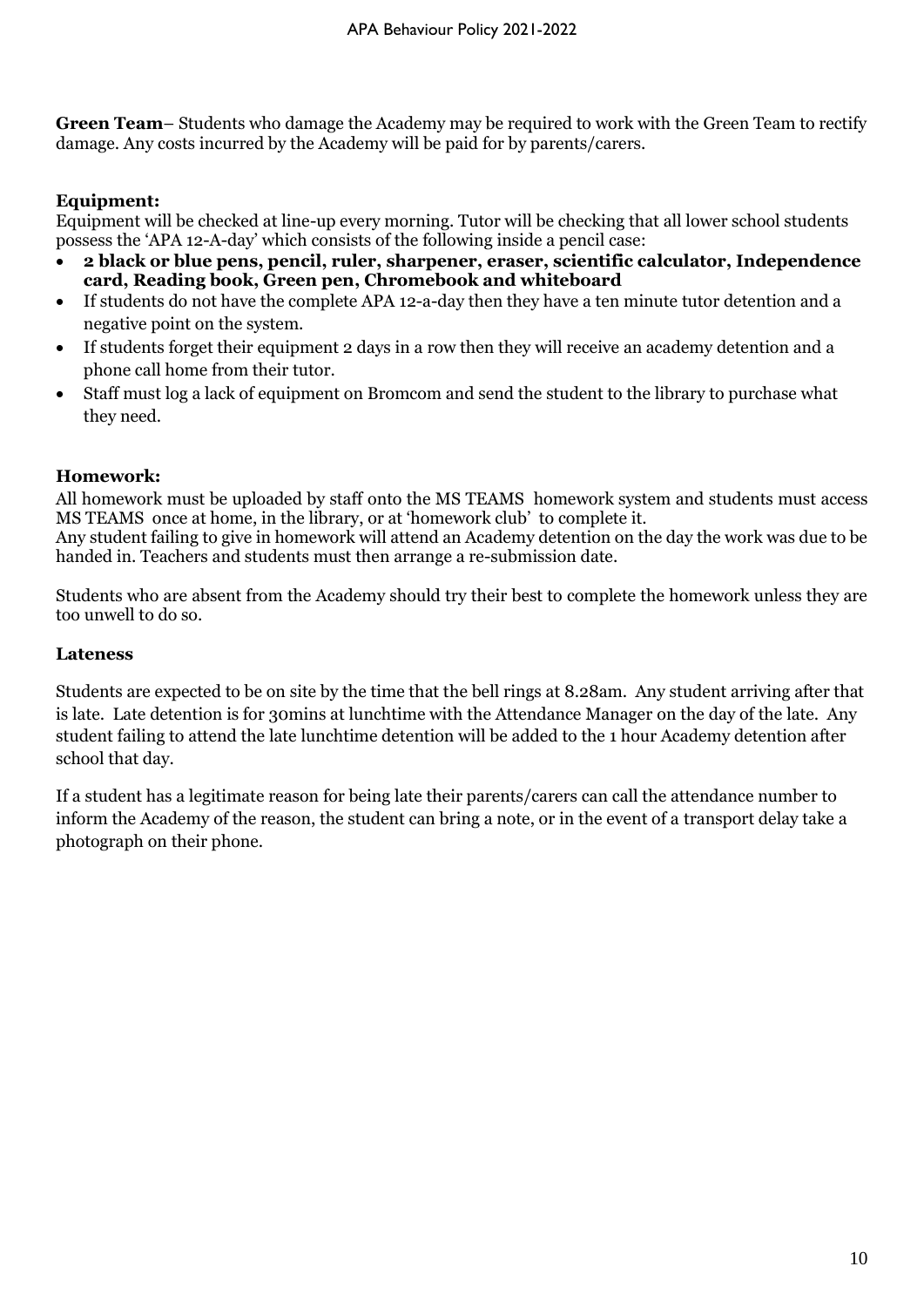**Green Team**– Students who damage the Academy may be required to work with the Green Team to rectify damage. Any costs incurred by the Academy will be paid for by parents/carers.

#### **Equipment:**

Equipment will be checked at line-up every morning. Tutor will be checking that all lower school students possess the 'APA 12-A-day' which consists of the following inside a pencil case:

- **2 black or blue pens, pencil, ruler, sharpener, eraser, scientific calculator, Independence card, Reading book, Green pen, Chromebook and whiteboard**
- If students do not have the complete APA 12-a-day then they have a ten minute tutor detention and a negative point on the system.
- If students forget their equipment 2 days in a row then they will receive an academy detention and a phone call home from their tutor.
- Staff must log a lack of equipment on Bromcom and send the student to the library to purchase what they need.

#### **Homework:**

All homework must be uploaded by staff onto the MS TEAMS homework system and students must access MS TEAMS once at home, in the library, or at 'homework club' to complete it. Any student failing to give in homework will attend an Academy detention on the day the work was due to be

handed in. Teachers and students must then arrange a re-submission date.

Students who are absent from the Academy should try their best to complete the homework unless they are too unwell to do so.

#### **Lateness**

Students are expected to be on site by the time that the bell rings at 8.28am. Any student arriving after that is late. Late detention is for 30mins at lunchtime with the Attendance Manager on the day of the late. Any student failing to attend the late lunchtime detention will be added to the 1 hour Academy detention after school that day.

If a student has a legitimate reason for being late their parents/carers can call the attendance number to inform the Academy of the reason, the student can bring a note, or in the event of a transport delay take a photograph on their phone.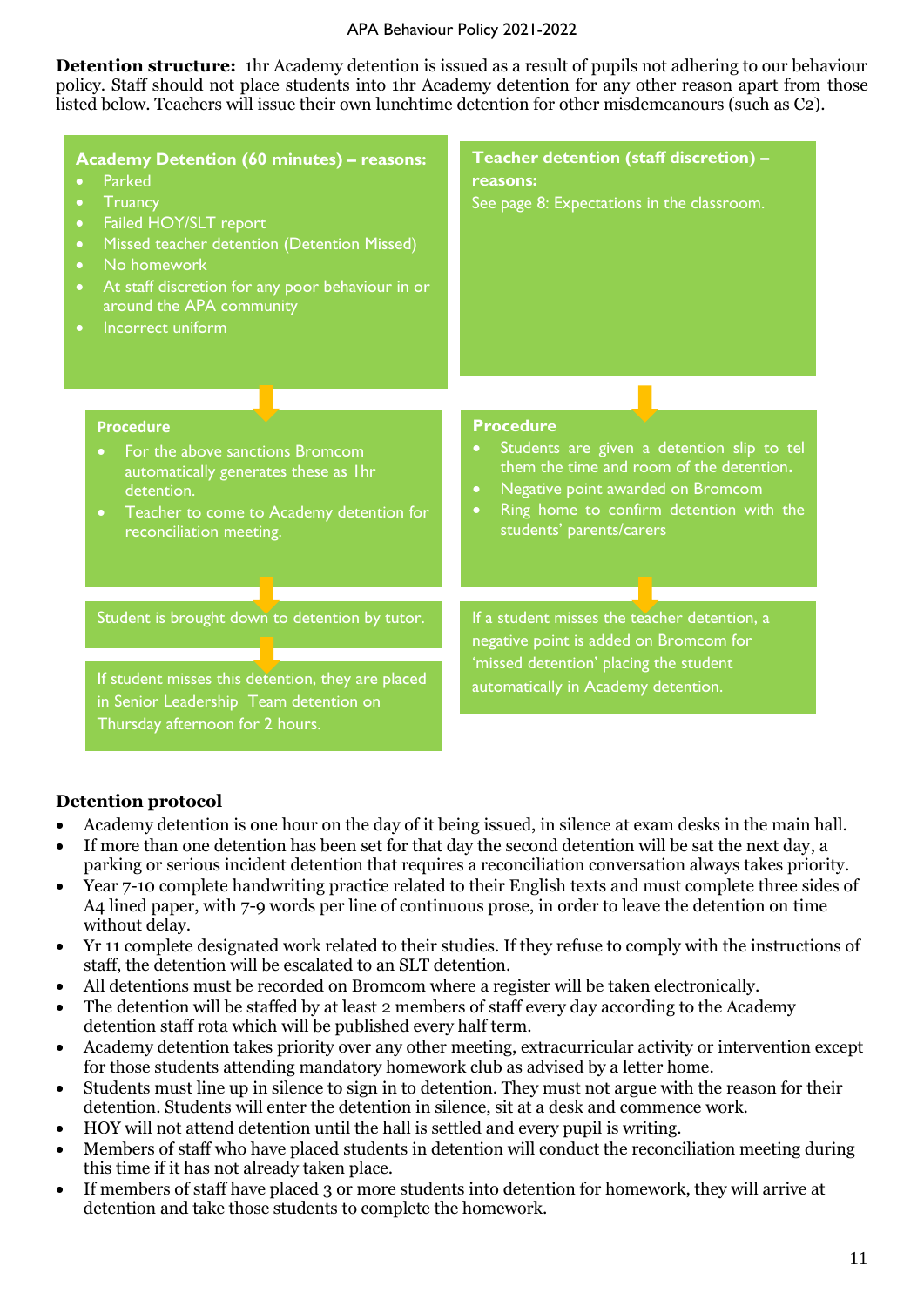#### APA Behaviour Policy 2021-2022

**Detention structure:** 1hr Academy detention is issued as a result of pupils not adhering to our behaviour policy. Staff should not place students into 1hr Academy detention for any other reason apart from those listed below. Teachers will issue their own lunchtime detention for other misdemeanours (such as C2).

| <b>Academy Detention (60 minutes) - reasons:</b><br><b>Parked</b><br>Truancy<br>Failed HOY/SLT report<br>$\bullet$<br>Missed teacher detention (Detention Missed)<br>$\bullet$<br>No homework<br>$\bullet$<br>At staff discretion for any poor behaviour in or<br>$\bullet$<br>around the APA community<br>Incorrect uniform<br>$\bullet$ | Teacher detention (staff discretion) -<br>reasons:<br>See page 8: Expectations in the classroom.                                                                                                                                                              |
|-------------------------------------------------------------------------------------------------------------------------------------------------------------------------------------------------------------------------------------------------------------------------------------------------------------------------------------------|---------------------------------------------------------------------------------------------------------------------------------------------------------------------------------------------------------------------------------------------------------------|
| <b>Procedure</b><br>For the above sanctions Bromcom<br>$\bullet$<br>automatically generates these as 1hr<br>detention.<br>Teacher to come to Academy detention for<br>$\bullet$<br>reconciliation meeting.                                                                                                                                | <b>Procedure</b><br>Students are given a detention slip to tel<br>$\bullet$<br>them the time and room of the detention.<br>Negative point awarded on Bromcom<br>$\bullet$<br>Ring home to confirm detention with the<br>$\bullet$<br>students' parents/carers |
| Student is brought down to detention by tutor.<br>If student misses this detention, they are placed<br>in Senior Leadership Team detention on<br>Thursday afternoon for 2 hours.                                                                                                                                                          | If a student misses the teacher detention, a<br>negative point is added on Bromcom for<br>'missed detention' placing the student<br>automatically in Academy detention.                                                                                       |

#### **Detention protocol**

- Academy detention is one hour on the day of it being issued, in silence at exam desks in the main hall.
- If more than one detention has been set for that day the second detention will be sat the next day, a parking or serious incident detention that requires a reconciliation conversation always takes priority.
- Year 7-10 complete handwriting practice related to their English texts and must complete three sides of A4 lined paper, with 7-9 words per line of continuous prose, in order to leave the detention on time without delay.
- Yr 11 complete designated work related to their studies. If they refuse to comply with the instructions of staff, the detention will be escalated to an SLT detention.
- All detentions must be recorded on Bromcom where a register will be taken electronically.
- The detention will be staffed by at least 2 members of staff every day according to the Academy detention staff rota which will be published every half term.
- Academy detention takes priority over any other meeting, extracurricular activity or intervention except for those students attending mandatory homework club as advised by a letter home.
- Students must line up in silence to sign in to detention. They must not argue with the reason for their detention. Students will enter the detention in silence, sit at a desk and commence work.
- HOY will not attend detention until the hall is settled and every pupil is writing.
- Members of staff who have placed students in detention will conduct the reconciliation meeting during this time if it has not already taken place.
- If members of staff have placed 3 or more students into detention for homework, they will arrive at detention and take those students to complete the homework.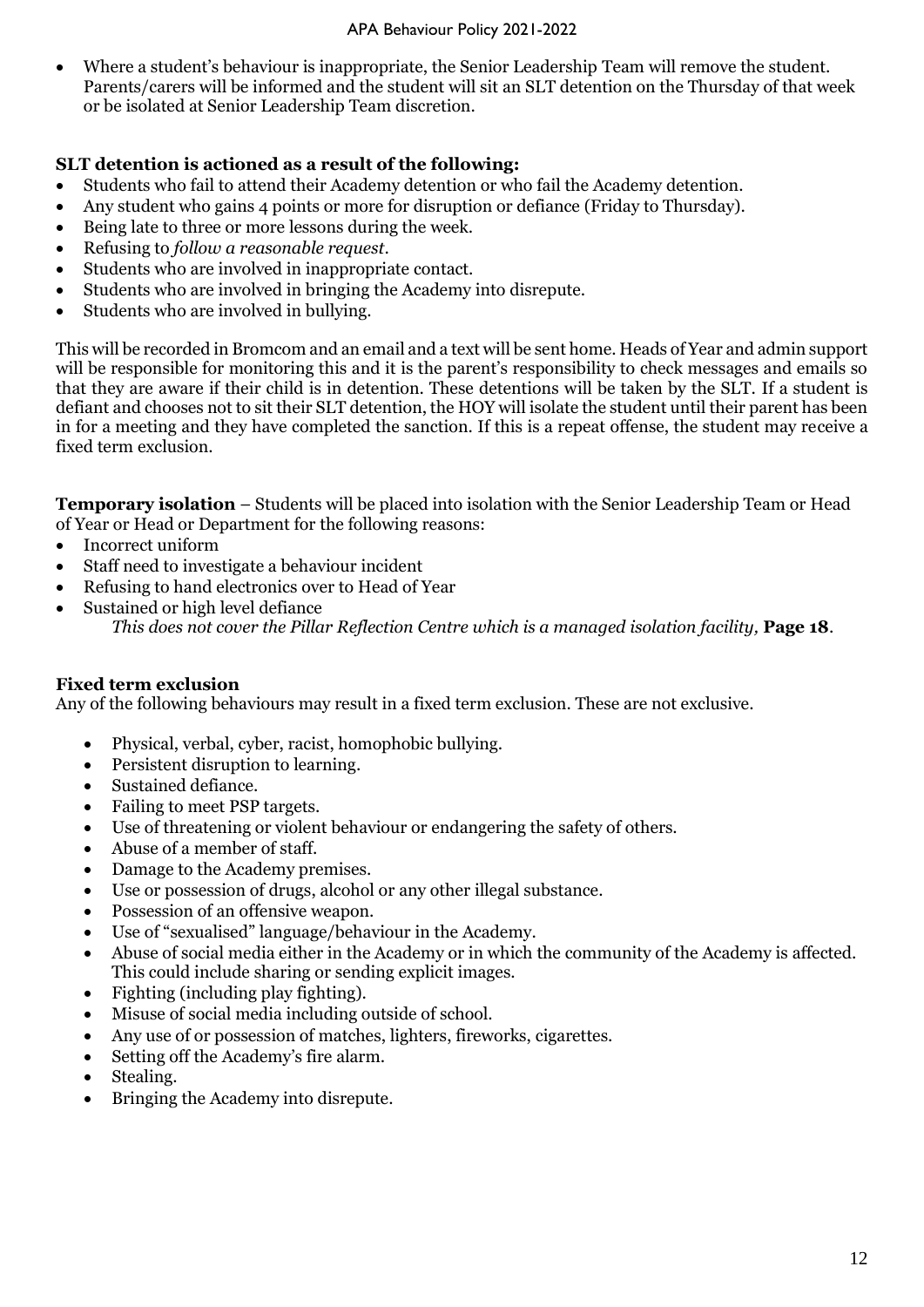• Where a student's behaviour is inappropriate, the Senior Leadership Team will remove the student. Parents/carers will be informed and the student will sit an SLT detention on the Thursday of that week or be isolated at Senior Leadership Team discretion.

#### **SLT detention is actioned as a result of the following:**

- Students who fail to attend their Academy detention or who fail the Academy detention.
- Any student who gains 4 points or more for disruption or defiance (Friday to Thursday).
- Being late to three or more lessons during the week.
- Refusing to *follow a reasonable request*.
- Students who are involved in inappropriate contact.
- Students who are involved in bringing the Academy into disrepute.
- Students who are involved in bullying.

This will be recorded in Bromcom and an email and a text will be sent home. Heads of Year and admin support will be responsible for monitoring this and it is the parent's responsibility to check messages and emails so that they are aware if their child is in detention. These detentions will be taken by the SLT. If a student is defiant and chooses not to sit their SLT detention, the HOY will isolate the student until their parent has been in for a meeting and they have completed the sanction. If this is a repeat offense, the student may receive a fixed term exclusion.

**Temporary isolation** – Students will be placed into isolation with the Senior Leadership Team or Head of Year or Head or Department for the following reasons:

- Incorrect uniform
- Staff need to investigate a behaviour incident
- Refusing to hand electronics over to Head of Year
- Sustained or high level defiance *This does not cover the Pillar Reflection Centre which is a managed isolation facility, Page 18.*

#### **Fixed term exclusion**

Any of the following behaviours may result in a fixed term exclusion. These are not exclusive.

- Physical, verbal, cyber, racist, homophobic bullying.
- Persistent disruption to learning.
- Sustained defiance.
- Failing to meet PSP targets.
- Use of threatening or violent behaviour or endangering the safety of others.
- Abuse of a member of staff.
- Damage to the Academy premises.
- Use or possession of drugs, alcohol or any other illegal substance.
- Possession of an offensive weapon.
- Use of "sexualised" language/behaviour in the Academy.
- Abuse of social media either in the Academy or in which the community of the Academy is affected. This could include sharing or sending explicit images.
- Fighting (including play fighting).
- Misuse of social media including outside of school.
- Any use of or possession of matches, lighters, fireworks, cigarettes.
- Setting off the Academy's fire alarm.
- Stealing.
- Bringing the Academy into disrepute.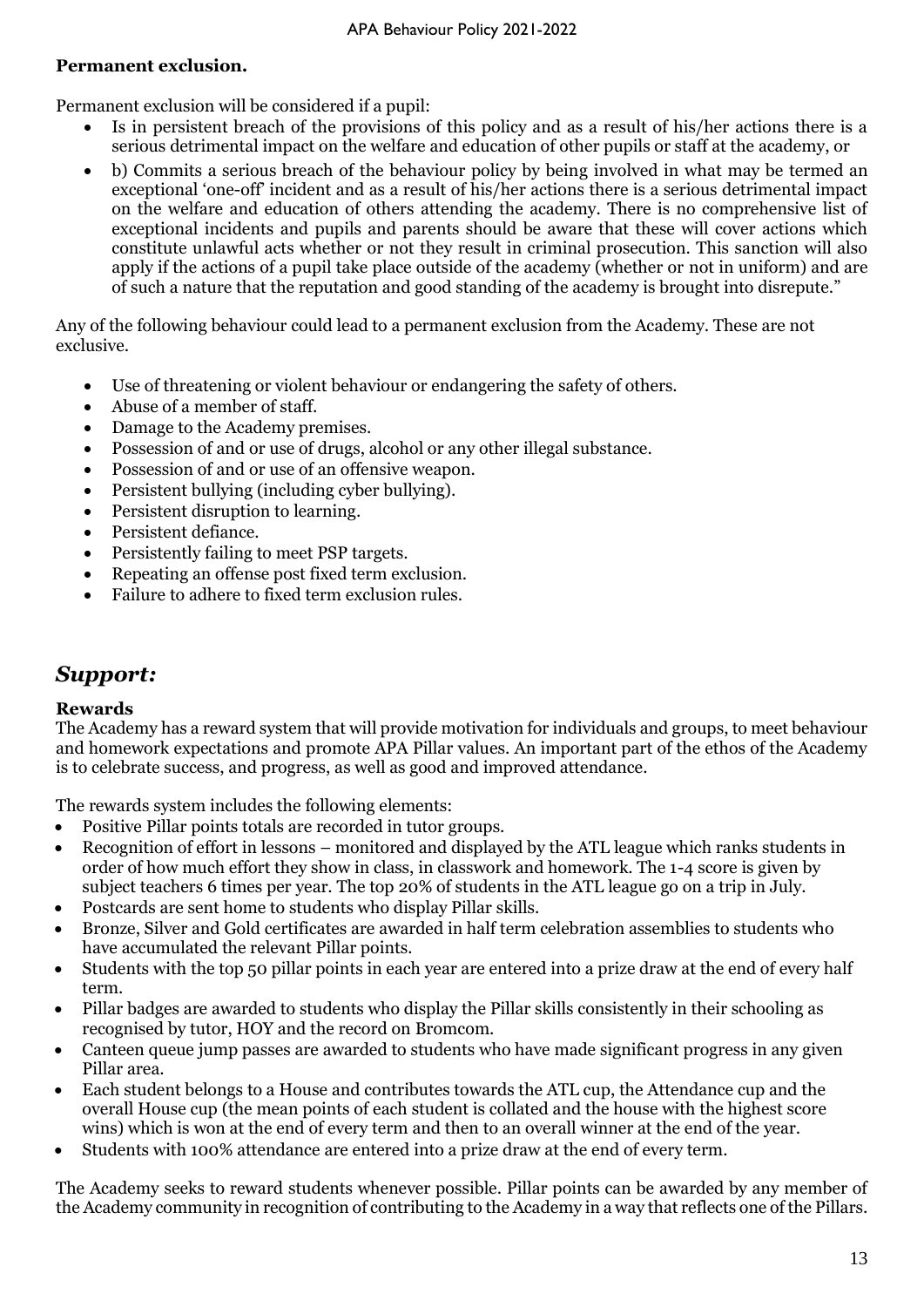#### **Permanent exclusion.**

Permanent exclusion will be considered if a pupil:

- Is in persistent breach of the provisions of this policy and as a result of his/her actions there is a serious detrimental impact on the welfare and education of other pupils or staff at the academy, or
- b) Commits a serious breach of the behaviour policy by being involved in what may be termed an exceptional 'one-off' incident and as a result of his/her actions there is a serious detrimental impact on the welfare and education of others attending the academy. There is no comprehensive list of exceptional incidents and pupils and parents should be aware that these will cover actions which constitute unlawful acts whether or not they result in criminal prosecution. This sanction will also apply if the actions of a pupil take place outside of the academy (whether or not in uniform) and are of such a nature that the reputation and good standing of the academy is brought into disrepute."

Any of the following behaviour could lead to a permanent exclusion from the Academy. These are not exclusive.

- Use of threatening or violent behaviour or endangering the safety of others.
- Abuse of a member of staff.
- Damage to the Academy premises.
- Possession of and or use of drugs, alcohol or any other illegal substance.
- Possession of and or use of an offensive weapon.
- Persistent bullying (including cyber bullying).
- Persistent disruption to learning.
- Persistent defiance.
- Persistently failing to meet PSP targets.
- Repeating an offense post fixed term exclusion.
- Failure to adhere to fixed term exclusion rules.

## *Support:*

#### **Rewards**

The Academy has a reward system that will provide motivation for individuals and groups, to meet behaviour and homework expectations and promote APA Pillar values. An important part of the ethos of the Academy is to celebrate success, and progress, as well as good and improved attendance.

The rewards system includes the following elements:

- Positive Pillar points totals are recorded in tutor groups.
- Recognition of effort in lessons monitored and displayed by the ATL league which ranks students in order of how much effort they show in class, in classwork and homework. The 1-4 score is given by subject teachers 6 times per year. The top 20% of students in the ATL league go on a trip in July.
- Postcards are sent home to students who display Pillar skills.
- Bronze, Silver and Gold certificates are awarded in half term celebration assemblies to students who have accumulated the relevant Pillar points.
- Students with the top 50 pillar points in each year are entered into a prize draw at the end of every half term.
- Pillar badges are awarded to students who display the Pillar skills consistently in their schooling as recognised by tutor, HOY and the record on Bromcom.
- Canteen queue jump passes are awarded to students who have made significant progress in any given Pillar area.
- Each student belongs to a House and contributes towards the ATL cup, the Attendance cup and the overall House cup (the mean points of each student is collated and the house with the highest score wins) which is won at the end of every term and then to an overall winner at the end of the year.
- Students with 100% attendance are entered into a prize draw at the end of every term.

The Academy seeks to reward students whenever possible. Pillar points can be awarded by any member of the Academy community in recognition of contributing to the Academy in a way that reflects one of the Pillars.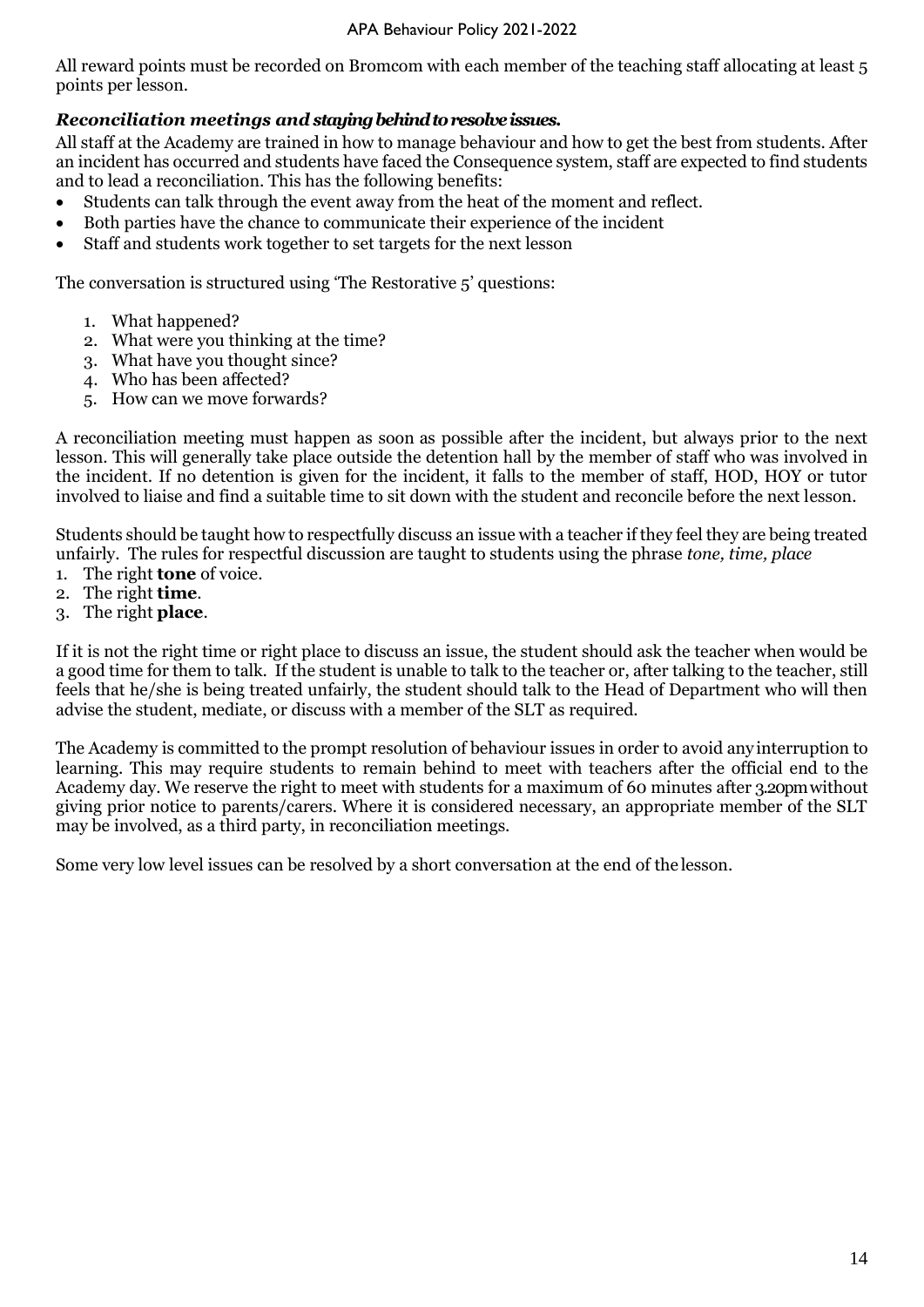All reward points must be recorded on Bromcom with each member of the teaching staff allocating at least 5 points per lesson.

#### *Reconciliation meetings and staying behind to resolve issues.*

All staff at the Academy are trained in how to manage behaviour and how to get the best from students. After an incident has occurred and students have faced the Consequence system, staff are expected to find students and to lead a reconciliation. This has the following benefits:

- Students can talk through the event away from the heat of the moment and reflect.
- Both parties have the chance to communicate their experience of the incident
- Staff and students work together to set targets for the next lesson

The conversation is structured using 'The Restorative 5' questions:

- 1. What happened?
- 2. What were you thinking at the time?
- 3. What have you thought since?
- 4. Who has been affected?
- 5. How can we move forwards?

A reconciliation meeting must happen as soon as possible after the incident, but always prior to the next lesson. This will generally take place outside the detention hall by the member of staff who was involved in the incident. If no detention is given for the incident, it falls to the member of staff, HOD, HOY or tutor involved to liaise and find a suitable time to sit down with the student and reconcile before the next lesson.

Students should be taught how to respectfully discuss an issue with a teacher if they feel they are being treated unfairly. The rules for respectful discussion are taught to students using the phrase *tone, time, place*

- 1. The right **tone** of voice.
- 2. The right **time**.
- 3. The right **place**.

If it is not the right time or right place to discuss an issue, the student should ask the teacher when would be a good time for them to talk. If the student is unable to talk to the teacher or, after talking to the teacher, still feels that he/she is being treated unfairly, the student should talk to the Head of Department who will then advise the student, mediate, or discuss with a member of the SLT as required.

The Academy is committed to the prompt resolution of behaviour issues in order to avoid any interruption to learning. This may require students to remain behind to meet with teachers after the official end to the Academy day. We reserve the right to meet with students for a maximum of 60 minutes after 3.20pm without giving prior notice to parents/carers. Where it is considered necessary, an appropriate member of the SLT may be involved, as a third party, in reconciliation meetings.

Some very low level issues can be resolved by a short conversation at the end of the lesson.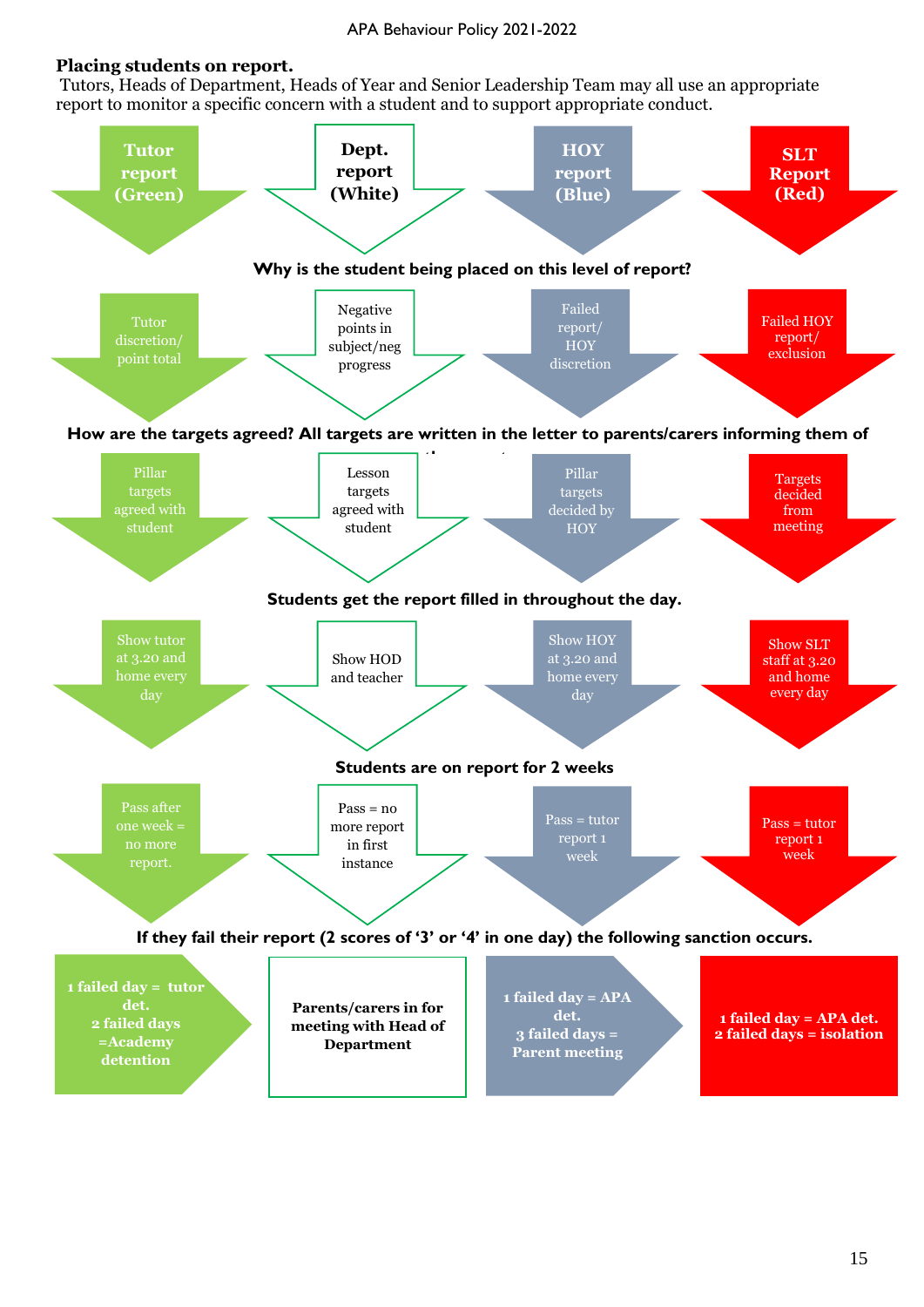#### APA Behaviour Policy 2021-2022

#### **Placing students on report.**

Tutors, Heads of Department, Heads of Year and Senior Leadership Team may all use an appropriate report to monitor a specific concern with a student and to support appropriate conduct.

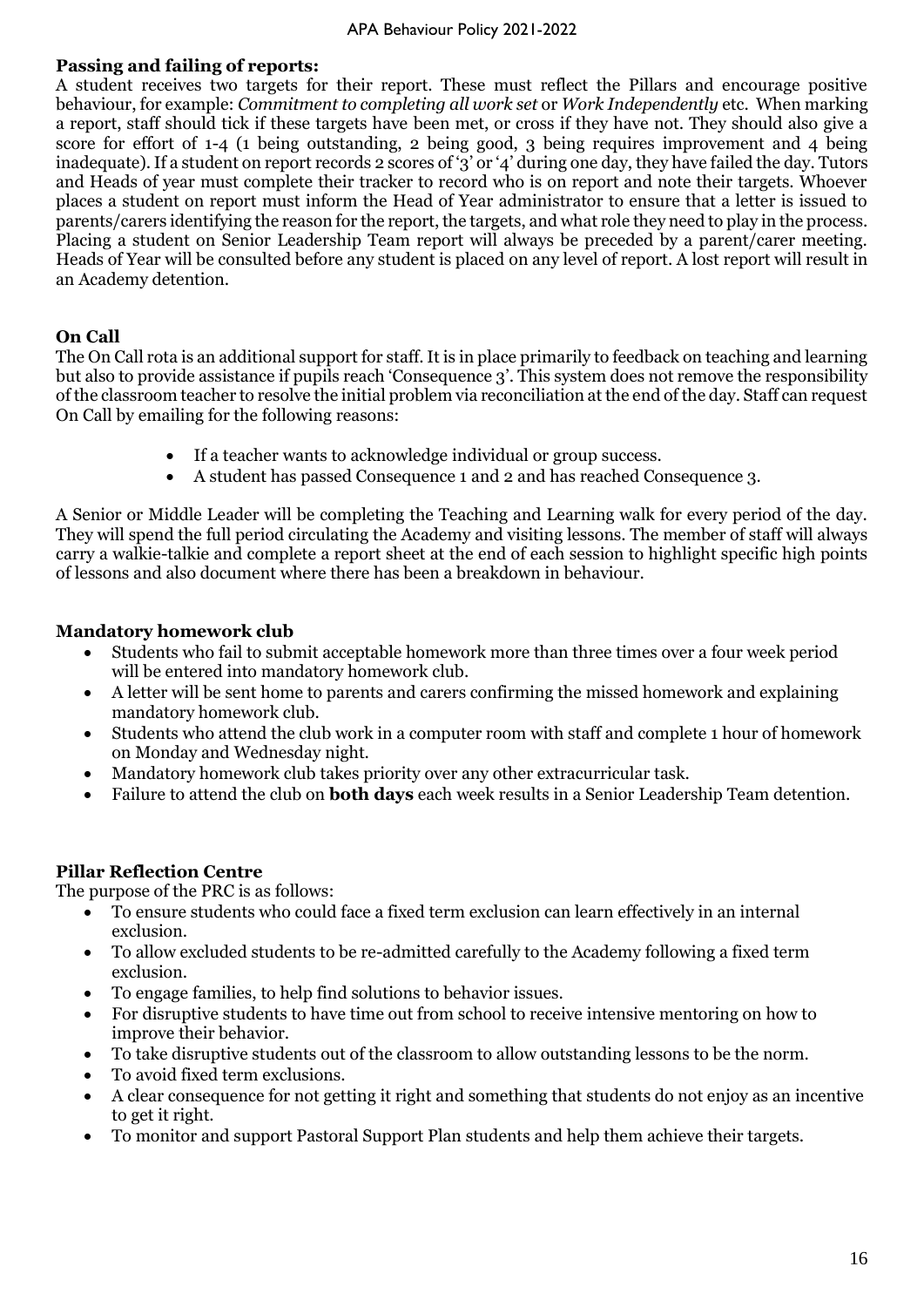#### **Passing and failing of reports:**

A student receives two targets for their report. These must reflect the Pillars and encourage positive behaviour, for example: *Commitment to completing all work set* or *Work Independently* etc. When marking a report, staff should tick if these targets have been met, or cross if they have not. They should also give a score for effort of 1-4 (1 being outstanding, 2 being good, 3 being requires improvement and 4 being inadequate). If a student on report records 2 scores of '3' or '4' during one day, they have failed the day. Tutors and Heads of year must complete their tracker to record who is on report and note their targets. Whoever places a student on report must inform the Head of Year administrator to ensure that a letter is issued to parents/carers identifying the reason for the report, the targets, and what role they need to play in the process. Placing a student on Senior Leadership Team report will always be preceded by a parent/carer meeting. Heads of Year will be consulted before any student is placed on any level of report. A lost report will result in an Academy detention.

#### **On Call**

The On Call rota is an additional support for staff. It is in place primarily to feedback on teaching and learning but also to provide assistance if pupils reach 'Consequence 3'. This system does not remove the responsibility of the classroom teacher to resolve the initial problem via reconciliation at the end of the day. Staff can request On Call by emailing for the following reasons:

- If a teacher wants to acknowledge individual or group success.
- A student has passed Consequence 1 and 2 and has reached Consequence 3.

A Senior or Middle Leader will be completing the Teaching and Learning walk for every period of the day. They will spend the full period circulating the Academy and visiting lessons. The member of staff will always carry a walkie-talkie and complete a report sheet at the end of each session to highlight specific high points of lessons and also document where there has been a breakdown in behaviour.

#### **Mandatory homework club**

- Students who fail to submit acceptable homework more than three times over a four week period will be entered into mandatory homework club.
- A letter will be sent home to parents and carers confirming the missed homework and explaining mandatory homework club.
- Students who attend the club work in a computer room with staff and complete 1 hour of homework on Monday and Wednesday night.
- Mandatory homework club takes priority over any other extracurricular task.
- Failure to attend the club on **both days** each week results in a Senior Leadership Team detention.

#### **Pillar Reflection Centre**

The purpose of the PRC is as follows:

- To ensure students who could face a fixed term exclusion can learn effectively in an internal exclusion.
- To allow excluded students to be re-admitted carefully to the Academy following a fixed term exclusion.
- To engage families, to help find solutions to behavior issues.
- For disruptive students to have time out from school to receive intensive mentoring on how to improve their behavior.
- To take disruptive students out of the classroom to allow outstanding lessons to be the norm.
- To avoid fixed term exclusions.
- A clear consequence for not getting it right and something that students do not enjoy as an incentive to get it right.
- To monitor and support Pastoral Support Plan students and help them achieve their targets.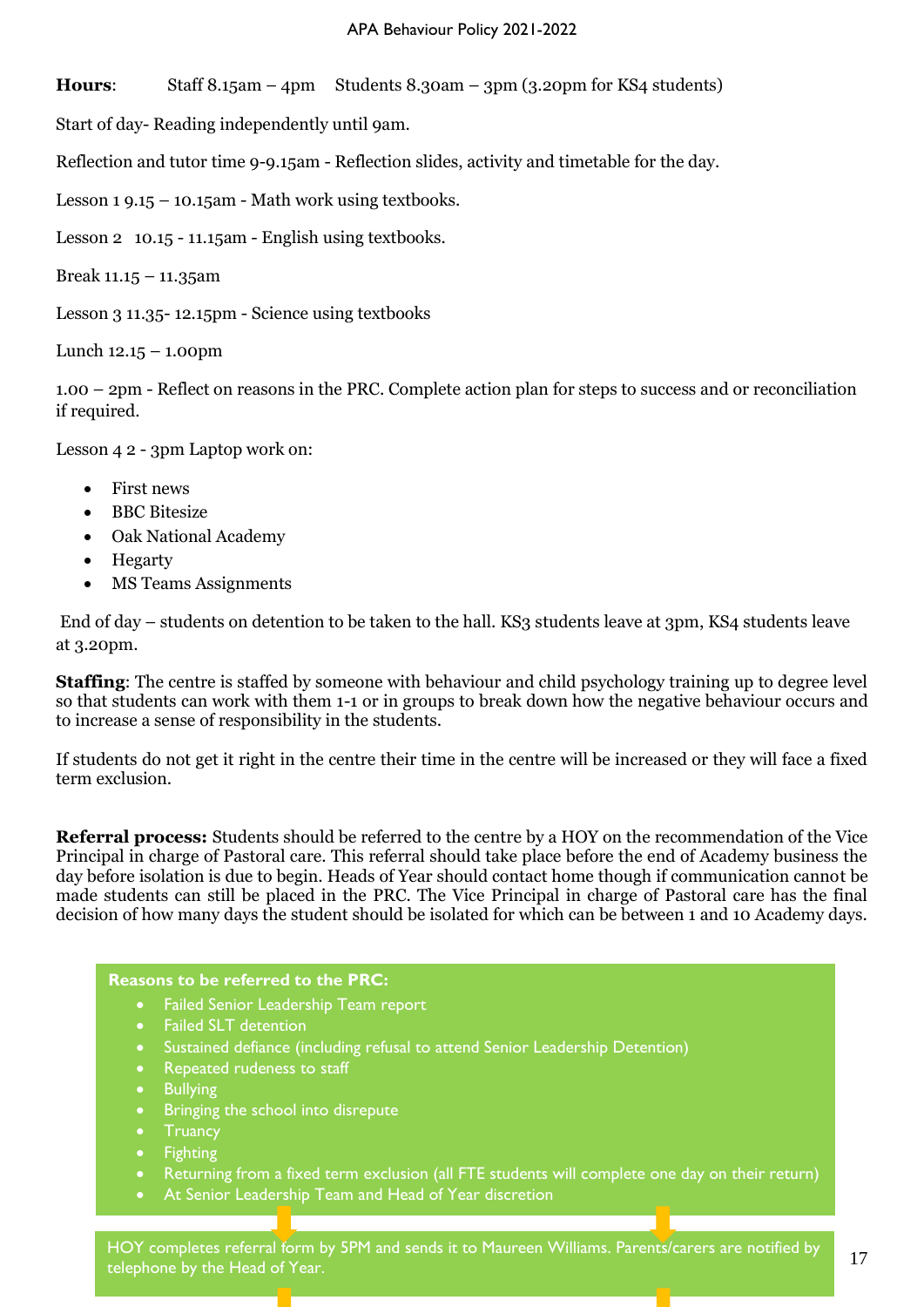**Hours**: Staff 8.15am – 4pm Students 8.30am – 3pm (3.20pm for KS4 students)

Start of day- Reading independently until 9am.

Reflection and tutor time 9-9.15am - Reflection slides, activity and timetable for the day.

Lesson 1 9.15 – 10.15am - Math work using textbooks.

Lesson 2 10.15 - 11.15am - English using textbooks.

Break 11.15 – 11.35am

Lesson 3 11.35- 12.15pm - Science using textbooks

Lunch 12.15 – 1.00pm

1.00 – 2pm - Reflect on reasons in the PRC. Complete action plan for steps to success and or reconciliation if required.

Lesson 4 2 - 3pm Laptop work on:

- First news
- BBC Bitesize
- Oak National Academy
- Hegarty
- MS Teams Assignments

End of day – students on detention to be taken to the hall. KS3 students leave at 3pm, KS4 students leave at 3.20pm.

**Staffing**: The centre is staffed by someone with behaviour and child psychology training up to degree level so that students can work with them 1-1 or in groups to break down how the negative behaviour occurs and to increase a sense of responsibility in the students.

If students do not get it right in the centre their time in the centre will be increased or they will face a fixed term exclusion.

**Referral process:** Students should be referred to the centre by a HOY on the recommendation of the Vice Principal in charge of Pastoral care. This referral should take place before the end of Academy business the day before isolation is due to begin. Heads of Year should contact home though if communication cannot be made students can still be placed in the PRC. The Vice Principal in charge of Pastoral care has the final decision of how many days the student should be isolated for which can be between 1 and 10 Academy days.

#### **Reasons to be referred to the PRC:**

- Failed Senior Leadership Team report
- Failed SLT detention
- Sustained defiance (including refusal to attend Senior Leadership Detention)
- Repeated rudeness to staff
- Bullying
- Bringing the school into disrepute
- **Truancy**
- Fighting
- Returning from a fixed term exclusion (all FTE students will complete one day on their return)
- At Senior Leadership Team and Head of Year discretion

17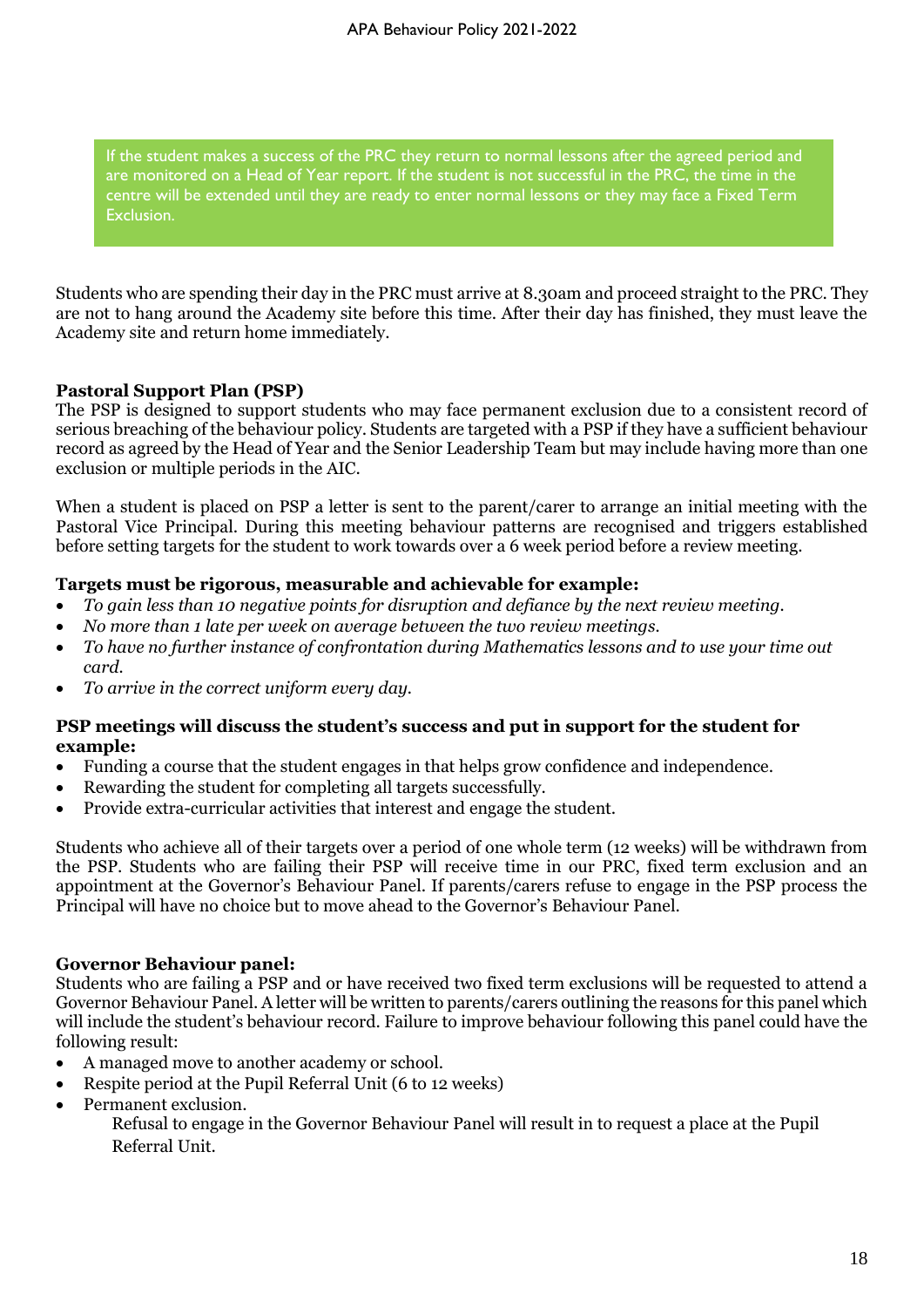If the student makes a success of the PRC they return to normal lessons after the agreed period and are monitored on a Head of Year report. If the student is not successful in the PRC, the time in the centre will be extended until they are ready to enter normal lessons or they may face a Fixed Term Exclusion.

Students who are spending their day in the PRC must arrive at 8.30am and proceed straight to the PRC. They are not to hang around the Academy site before this time. After their day has finished, they must leave the Academy site and return home immediately.

#### **Pastoral Support Plan (PSP)**

The PSP is designed to support students who may face permanent exclusion due to a consistent record of serious breaching of the behaviour policy. Students are targeted with a PSP if they have a sufficient behaviour record as agreed by the Head of Year and the Senior Leadership Team but may include having more than one exclusion or multiple periods in the AIC.

When a student is placed on PSP a letter is sent to the parent/carer to arrange an initial meeting with the Pastoral Vice Principal. During this meeting behaviour patterns are recognised and triggers established before setting targets for the student to work towards over a 6 week period before a review meeting.

#### **Targets must be rigorous, measurable and achievable for example:**

- *To gain less than 10 negative points for disruption and defiance by the next review meeting.*
- *No more than 1 late per week on average between the two review meetings.*
- *To have no further instance of confrontation during Mathematics lessons and to use your time out card.*
- *To arrive in the correct uniform every day.*

#### **PSP meetings will discuss the student's success and put in support for the student for example:**

- Funding a course that the student engages in that helps grow confidence and independence.
- Rewarding the student for completing all targets successfully.
- Provide extra-curricular activities that interest and engage the student.

Students who achieve all of their targets over a period of one whole term (12 weeks) will be withdrawn from the PSP. Students who are failing their PSP will receive time in our PRC, fixed term exclusion and an appointment at the Governor's Behaviour Panel. If parents/carers refuse to engage in the PSP process the Principal will have no choice but to move ahead to the Governor's Behaviour Panel.

#### **Governor Behaviour panel:**

Students who are failing a PSP and or have received two fixed term exclusions will be requested to attend a Governor Behaviour Panel. A letter will be written to parents/carers outlining the reasons for this panel which will include the student's behaviour record. Failure to improve behaviour following this panel could have the following result:

- A managed move to another academy or school.
- Respite period at the Pupil Referral Unit (6 to 12 weeks)
- Permanent exclusion.

Refusal to engage in the Governor Behaviour Panel will result in to request a place at the Pupil Referral Unit.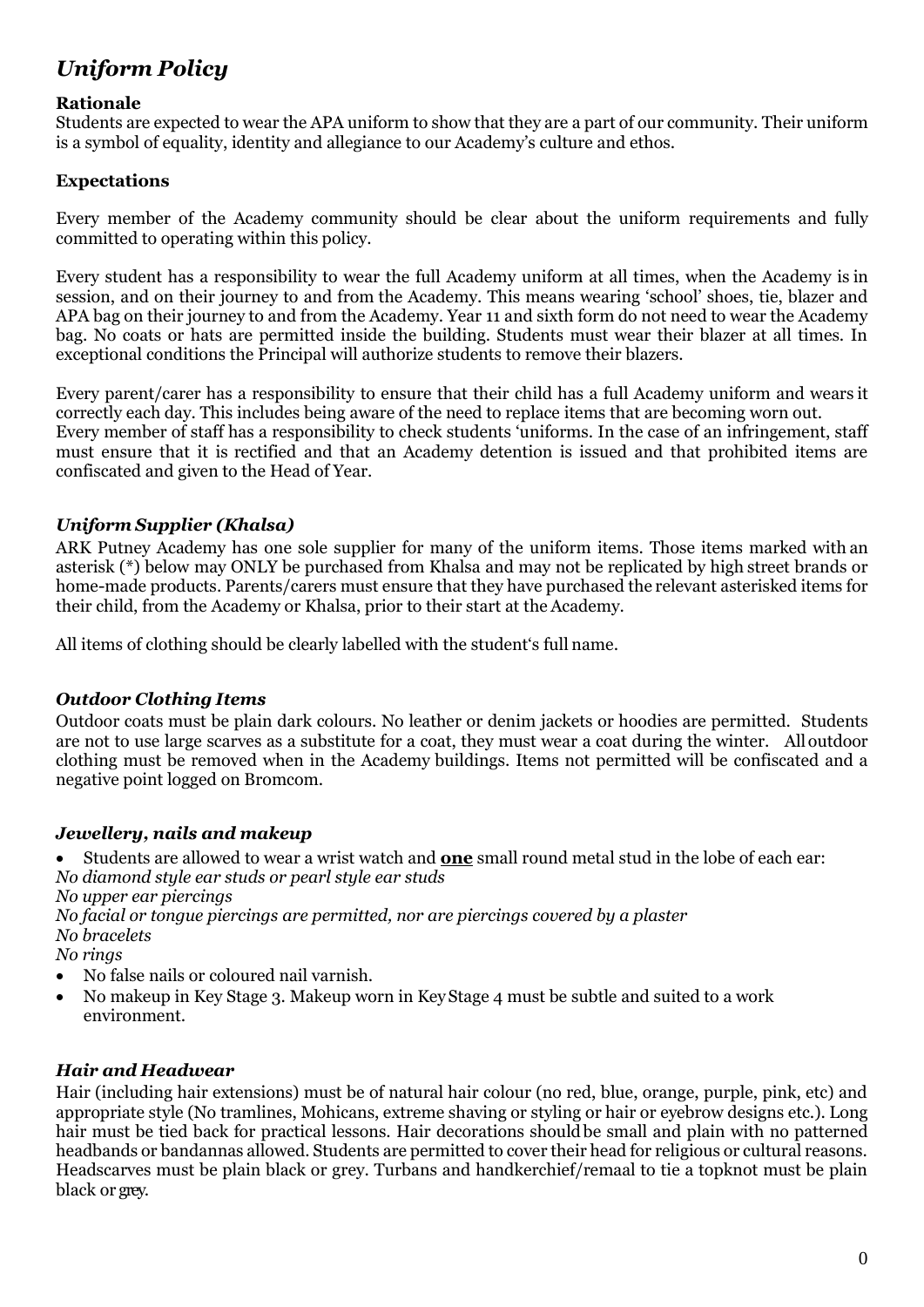## *Uniform Policy*

#### **Rationale**

Students are expected to wear the APA uniform to show that they are a part of our community. Their uniform is a symbol of equality, identity and allegiance to our Academy's culture and ethos.

#### **Expectations**

Every member of the Academy community should be clear about the uniform requirements and fully committed to operating within this policy.

Every student has a responsibility to wear the full Academy uniform at all times, when the Academy is in session, and on their journey to and from the Academy. This means wearing 'school' shoes, tie, blazer and APA bag on their journey to and from the Academy. Year 11 and sixth form do not need to wear the Academy bag. No coats or hats are permitted inside the building. Students must wear their blazer at all times. In exceptional conditions the Principal will authorize students to remove their blazers.

Every parent/carer has a responsibility to ensure that their child has a full Academy uniform and wears it correctly each day. This includes being aware of the need to replace items that are becoming worn out. Every member of staff has a responsibility to check students 'uniforms. In the case of an infringement, staff must ensure that it is rectified and that an Academy detention is issued and that prohibited items are confiscated and given to the Head of Year.

#### *Uniform Supplier (Khalsa)*

ARK Putney Academy has one sole supplier for many of the uniform items. Those items marked with an asterisk (\*) below may ONLY be purchased from Khalsa and may not be replicated by high street brands or home-made products. Parents/carers must ensure that they have purchased the relevant asterisked items for their child, from the Academy or Khalsa, prior to their start at the Academy.

All items of clothing should be clearly labelled with the student's full name.

#### *Outdoor Clothing Items*

Outdoor coats must be plain dark colours. No leather or denim jackets or hoodies are permitted. Students are not to use large scarves as a substitute for a coat, they must wear a coat during the winter. All outdoor clothing must be removed when in the Academy buildings. Items not permitted will be confiscated and a negative point logged on Bromcom.

#### *Jewellery, nails and makeup*

• Students are allowed to wear a wrist watch and **one** small round metal stud in the lobe of each ear: *No diamond style ear studs or pearl style ear studs*

*No upper ear piercings*

*No facial or tongue piercings are permitted, nor are piercings covered by a plaster No bracelets*

*No rings* 

- No false nails or coloured nail varnish.
- No makeup in Key Stage 3. Makeup worn in Key Stage 4 must be subtle and suited to a work environment.

### *Hair and Headwear*

Hair (including hair extensions) must be of natural hair colour (no red, blue, orange, purple, pink, etc) and appropriate style (No tramlines, Mohicans, extreme shaving or styling or hair or eyebrow designs etc.). Long hair must be tied back for practical lessons. Hair decorations should be small and plain with no patterned headbands or bandannas allowed. Students are permitted to cover their head for religious or cultural reasons. Headscarves must be plain black or grey. Turbans and handkerchief/remaal to tie a topknot must be plain black or grey.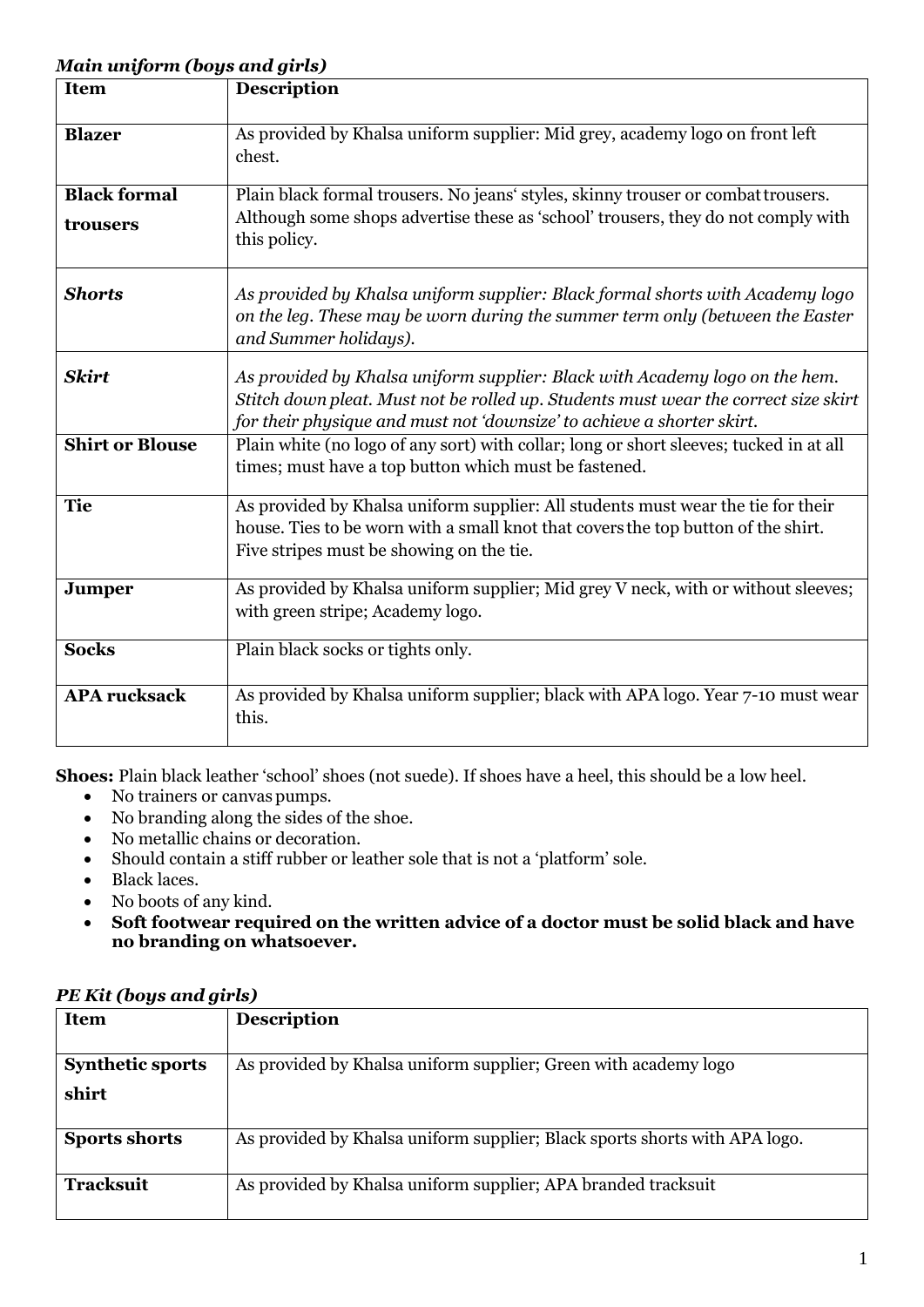#### *Main uniform (boys and girls)*

| <b>Item</b>            | <b>Description</b>                                                                                                                                                                                                                           |
|------------------------|----------------------------------------------------------------------------------------------------------------------------------------------------------------------------------------------------------------------------------------------|
| <b>Blazer</b>          | As provided by Khalsa uniform supplier: Mid grey, academy logo on front left<br>chest.                                                                                                                                                       |
| <b>Black formal</b>    | Plain black formal trousers. No jeans' styles, skinny trouser or combat trousers.                                                                                                                                                            |
| trousers               | Although some shops advertise these as 'school' trousers, they do not comply with<br>this policy.                                                                                                                                            |
| <b>Shorts</b>          | As provided by Khalsa uniform supplier: Black formal shorts with Academy logo<br>on the leg. These may be worn during the summer term only (between the Easter<br>and Summer holidays).                                                      |
| <b>Skirt</b>           | As provided by Khalsa uniform supplier: Black with Academy logo on the hem.<br>Stitch down pleat. Must not be rolled up. Students must wear the correct size skirt<br>for their physique and must not 'downsize' to achieve a shorter skirt. |
| <b>Shirt or Blouse</b> | Plain white (no logo of any sort) with collar; long or short sleeves; tucked in at all<br>times; must have a top button which must be fastened.                                                                                              |
| <b>Tie</b>             | As provided by Khalsa uniform supplier: All students must wear the tie for their<br>house. Ties to be worn with a small knot that covers the top button of the shirt.<br>Five stripes must be showing on the tie.                            |
| <b>Jumper</b>          | As provided by Khalsa uniform supplier; Mid grey V neck, with or without sleeves;<br>with green stripe; Academy logo.                                                                                                                        |
| <b>Socks</b>           | Plain black socks or tights only.                                                                                                                                                                                                            |
| <b>APA</b> rucksack    | As provided by Khalsa uniform supplier; black with APA logo. Year 7-10 must wear<br>this.                                                                                                                                                    |

**Shoes:** Plain black leather 'school' shoes (not suede). If shoes have a heel, this should be a low heel.

- No trainers or canvas pumps.
- No branding along the sides of the shoe.
- No metallic chains or decoration.
- Should contain a stiff rubber or leather sole that is not a 'platform' sole.
- Black laces.
- No boots of any kind.
- **Soft footwear required on the written advice of a doctor must be solid black and have no branding on whatsoever.**

| <b>Item</b>             | <b>Description</b>                                                         |
|-------------------------|----------------------------------------------------------------------------|
|                         |                                                                            |
| <b>Synthetic sports</b> | As provided by Khalsa uniform supplier; Green with academy logo            |
| shirt                   |                                                                            |
| <b>Sports shorts</b>    | As provided by Khalsa uniform supplier; Black sports shorts with APA logo. |
| <b>Tracksuit</b>        | As provided by Khalsa uniform supplier; APA branded tracksuit              |

#### *PE Kit (boys and girls)*